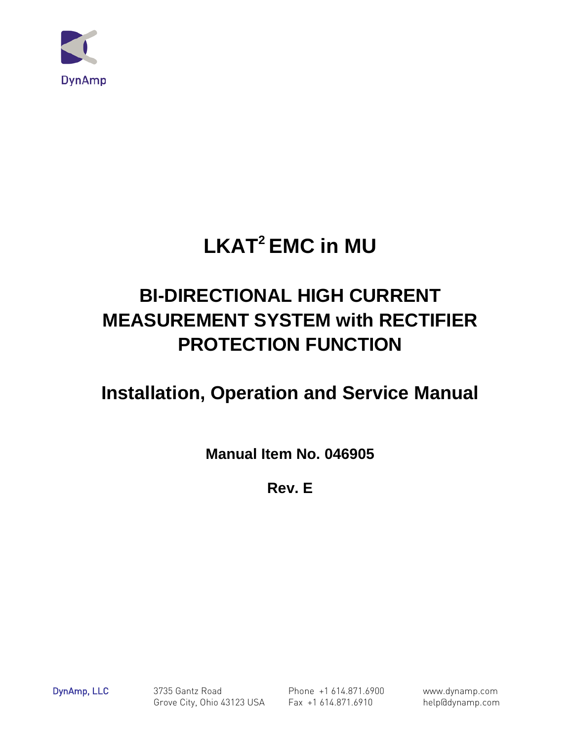

# **LKAT<sup>2</sup> EMC in MU**

## **BI-DIRECTIONAL HIGH CURRENT MEASUREMENT SYSTEM with RECTIFIER PROTECTION FUNCTION**

## **Installation, Operation and Service Manual**

**Manual Item No. 046905** 

**Rev. E** 

DynAmp, LLC 3735 Gantz Road Phone +1 614.871.6900 www.dynamp.com Grove City, Ohio 43123 USA Fax +1 614.871.6910 help@dynamp.com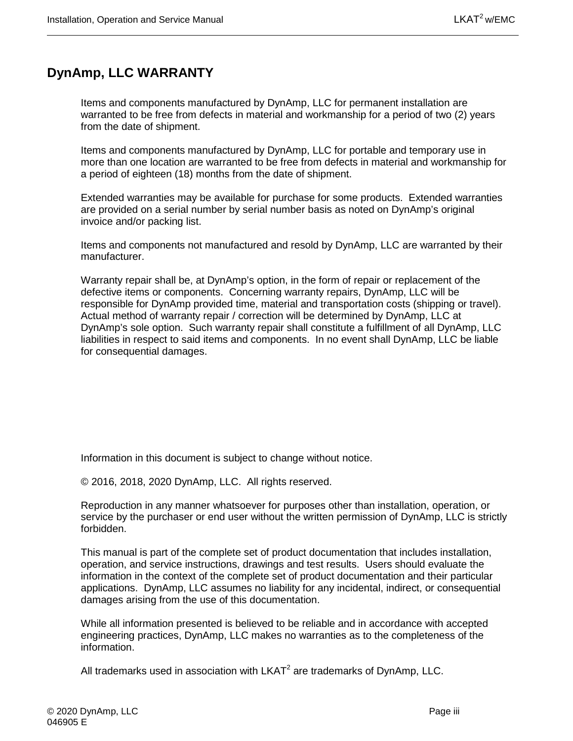## <span id="page-2-0"></span>**DynAmp, LLC WARRANTY**

Items and components manufactured by DynAmp, LLC for permanent installation are warranted to be free from defects in material and workmanship for a period of two (2) years from the date of shipment.

Items and components manufactured by DynAmp, LLC for portable and temporary use in more than one location are warranted to be free from defects in material and workmanship for a period of eighteen (18) months from the date of shipment.

Extended warranties may be available for purchase for some products. Extended warranties are provided on a serial number by serial number basis as noted on DynAmp's original invoice and/or packing list.

Items and components not manufactured and resold by DynAmp, LLC are warranted by their manufacturer.

Warranty repair shall be, at DynAmp's option, in the form of repair or replacement of the defective items or components. Concerning warranty repairs, DynAmp, LLC will be responsible for DynAmp provided time, material and transportation costs (shipping or travel). Actual method of warranty repair / correction will be determined by DynAmp, LLC at DynAmp's sole option. Such warranty repair shall constitute a fulfillment of all DynAmp, LLC liabilities in respect to said items and components. In no event shall DynAmp, LLC be liable for consequential damages.

Information in this document is subject to change without notice.

© 2016, 2018, 2020 DynAmp, LLC. All rights reserved.

Reproduction in any manner whatsoever for purposes other than installation, operation, or service by the purchaser or end user without the written permission of DynAmp, LLC is strictly forbidden.

This manual is part of the complete set of product documentation that includes installation, operation, and service instructions, drawings and test results. Users should evaluate the information in the context of the complete set of product documentation and their particular applications. DynAmp, LLC assumes no liability for any incidental, indirect, or consequential damages arising from the use of this documentation.

While all information presented is believed to be reliable and in accordance with accepted engineering practices, DynAmp, LLC makes no warranties as to the completeness of the information.

All trademarks used in association with  $LKAT<sup>2</sup>$  are trademarks of DynAmp, LLC.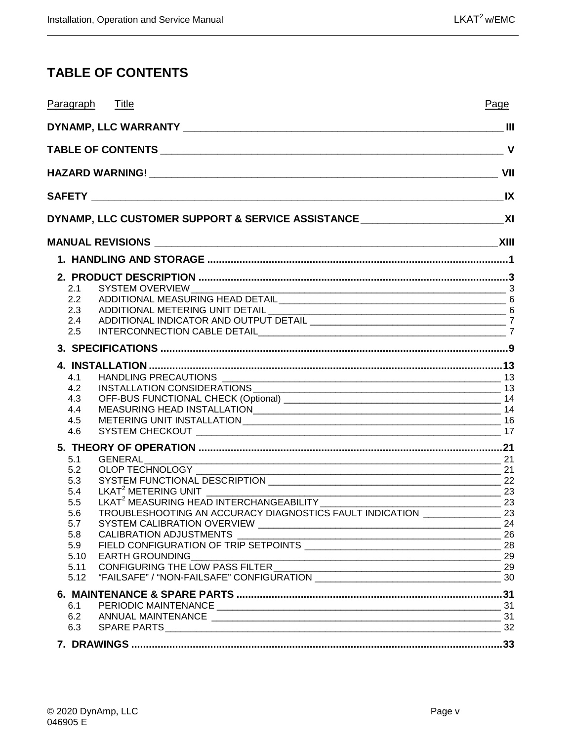## <span id="page-4-0"></span>**TABLE OF CONTENTS**

|              | Paragraph Title                                                          | Page |
|--------------|--------------------------------------------------------------------------|------|
|              |                                                                          |      |
|              |                                                                          |      |
|              |                                                                          |      |
|              |                                                                          |      |
|              |                                                                          |      |
|              |                                                                          |      |
|              |                                                                          |      |
|              |                                                                          |      |
| 2.1          |                                                                          |      |
| 2.2          |                                                                          |      |
| 2.3          |                                                                          |      |
| 2.4          |                                                                          |      |
| 2.5          |                                                                          |      |
|              |                                                                          |      |
|              |                                                                          |      |
| 4.1<br>4.2   | INSTALLATION CONSIDERATIONS                                              |      |
| 4.3          |                                                                          |      |
| 4.4          |                                                                          |      |
| 4.5          |                                                                          |      |
| 4.6          |                                                                          |      |
|              |                                                                          |      |
| 5.1          |                                                                          |      |
| 5.2<br>5.3   | $\overline{\phantom{a}}$ 21                                              |      |
| 5.4          |                                                                          |      |
| 5.5          |                                                                          |      |
| 5.6          | TROUBLESHOOTING AN ACCURACY DIAGNOSTICS FAULT INDICATION _______________ | 23   |
| 5.7          |                                                                          | 24   |
| 5.8          |                                                                          |      |
| 5.9          |                                                                          |      |
| 5.10<br>5.11 |                                                                          |      |
| 5.12         |                                                                          |      |
|              |                                                                          |      |
| 6.1          |                                                                          |      |
| 6.2          |                                                                          |      |
| 6.3          |                                                                          |      |
|              |                                                                          |      |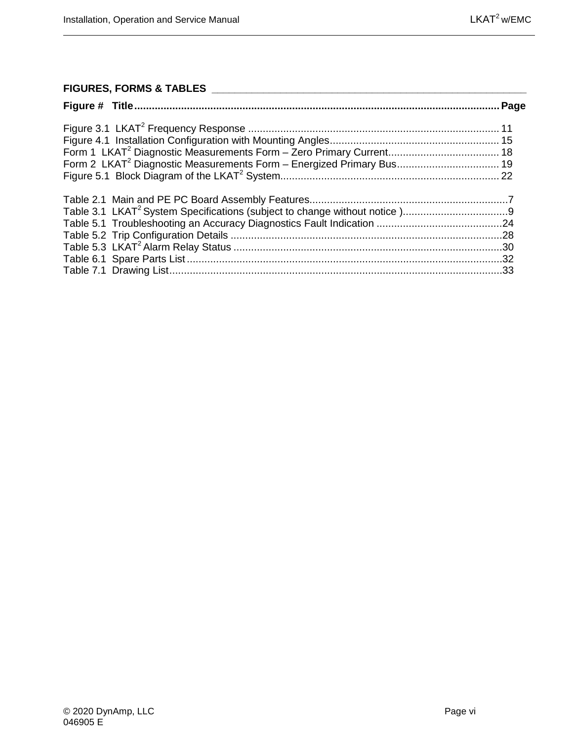#### **FIGURES, FORMS & TABLES \_\_\_\_\_\_\_\_\_\_\_\_\_\_\_\_\_\_\_\_\_\_\_\_\_\_\_\_\_\_\_\_\_\_\_\_\_\_\_\_\_\_\_\_\_\_\_\_\_\_\_\_\_\_\_**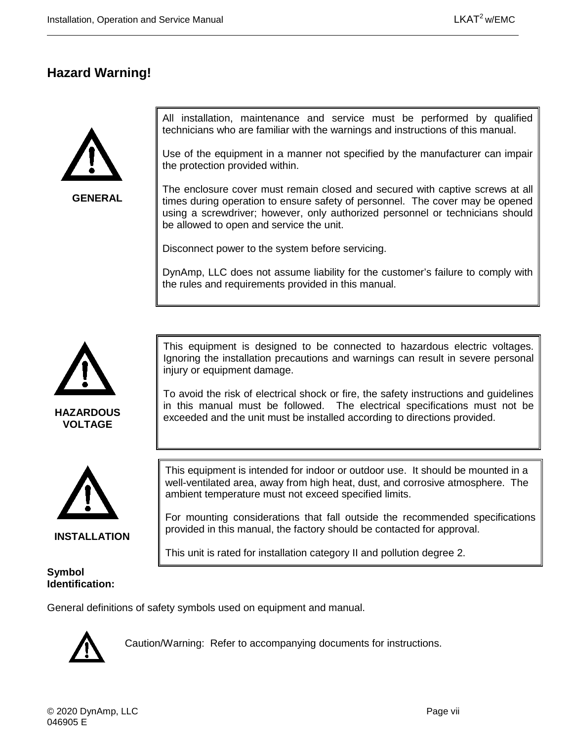### <span id="page-6-0"></span>**Hazard Warning!**



**GENERAL**

All installation, maintenance and service must be performed by qualified technicians who are familiar with the warnings and instructions of this manual.

Use of the equipment in a manner not specified by the manufacturer can impair the protection provided within.

The enclosure cover must remain closed and secured with captive screws at all times during operation to ensure safety of personnel. The cover may be opened using a screwdriver; however, only authorized personnel or technicians should be allowed to open and service the unit.

Disconnect power to the system before servicing.

DynAmp, LLC does not assume liability for the customer's failure to comply with the rules and requirements provided in this manual.



**VOLTAGE**



**INSTALLATION**

#### **Symbol Identification:**

This equipment is designed to be connected to hazardous electric voltages. Ignoring the installation precautions and warnings can result in severe personal injury or equipment damage.

To avoid the risk of electrical shock or fire, the safety instructions and guidelines in this manual must be followed. The electrical specifications must not be exceeded and the unit must be installed according to directions provided.

This equipment is intended for indoor or outdoor use. It should be mounted in a well-ventilated area, away from high heat, dust, and corrosive atmosphere. The ambient temperature must not exceed specified limits.

For mounting considerations that fall outside the recommended specifications provided in this manual, the factory should be contacted for approval.

This unit is rated for installation category II and pollution degree 2.

General definitions of safety symbols used on equipment and manual.



Caution/Warning: Refer to accompanying documents for instructions.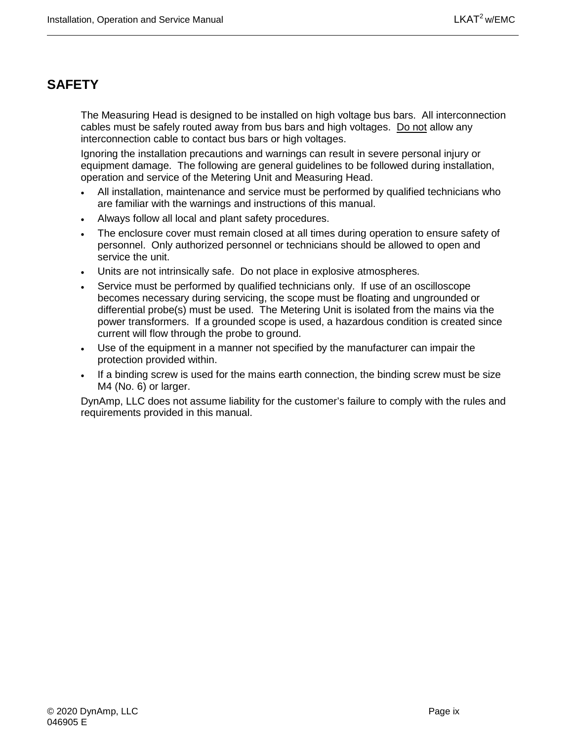## <span id="page-8-0"></span>**SAFETY**

The Measuring Head is designed to be installed on high voltage bus bars. All interconnection cables must be safely routed away from bus bars and high voltages. Do not allow any interconnection cable to contact bus bars or high voltages.

Ignoring the installation precautions and warnings can result in severe personal injury or equipment damage. The following are general guidelines to be followed during installation, operation and service of the Metering Unit and Measuring Head.

- All installation, maintenance and service must be performed by qualified technicians who are familiar with the warnings and instructions of this manual.
- Always follow all local and plant safety procedures.
- The enclosure cover must remain closed at all times during operation to ensure safety of personnel. Only authorized personnel or technicians should be allowed to open and service the unit.
- Units are not intrinsically safe. Do not place in explosive atmospheres.
- Service must be performed by qualified technicians only. If use of an oscilloscope becomes necessary during servicing, the scope must be floating and ungrounded or differential probe(s) must be used. The Metering Unit is isolated from the mains via the power transformers. If a grounded scope is used, a hazardous condition is created since current will flow through the probe to ground.
- Use of the equipment in a manner not specified by the manufacturer can impair the protection provided within.
- If a binding screw is used for the mains earth connection, the binding screw must be size M4 (No. 6) or larger.

DynAmp, LLC does not assume liability for the customer's failure to comply with the rules and requirements provided in this manual.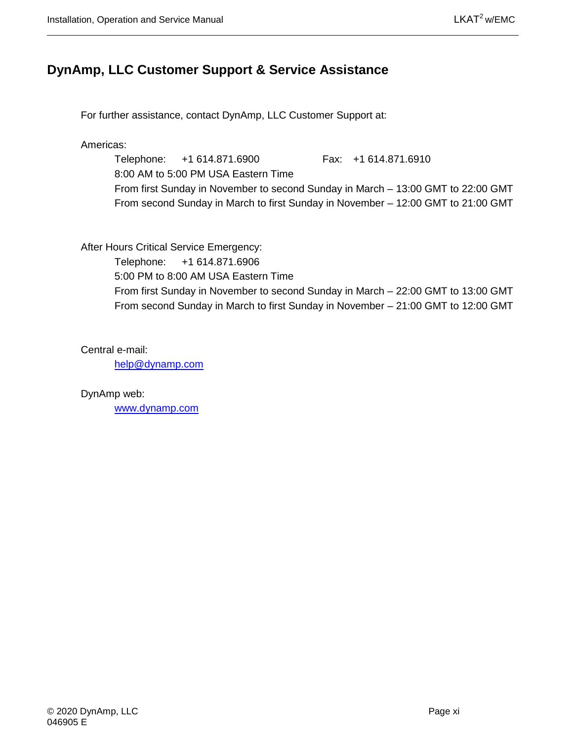### <span id="page-10-0"></span>**DynAmp, LLC Customer Support & Service Assistance**

For further assistance, contact DynAmp, LLC Customer Support at:

Americas:

Telephone: +1 614.871.6900 Fax: +1 614.871.6910 8:00 AM to 5:00 PM USA Eastern Time From first Sunday in November to second Sunday in March – 13:00 GMT to 22:00 GMT From second Sunday in March to first Sunday in November – 12:00 GMT to 21:00 GMT

After Hours Critical Service Emergency:

Telephone: +1 614.871.6906

5:00 PM to 8:00 AM USA Eastern Time

From first Sunday in November to second Sunday in March – 22:00 GMT to 13:00 GMT From second Sunday in March to first Sunday in November – 21:00 GMT to 12:00 GMT

Central e-mail:

[help@dynamp.com](mailto:help@dynamp.com)

DynAmp web:

[www.dynamp.com](http://www.dynamp.com/)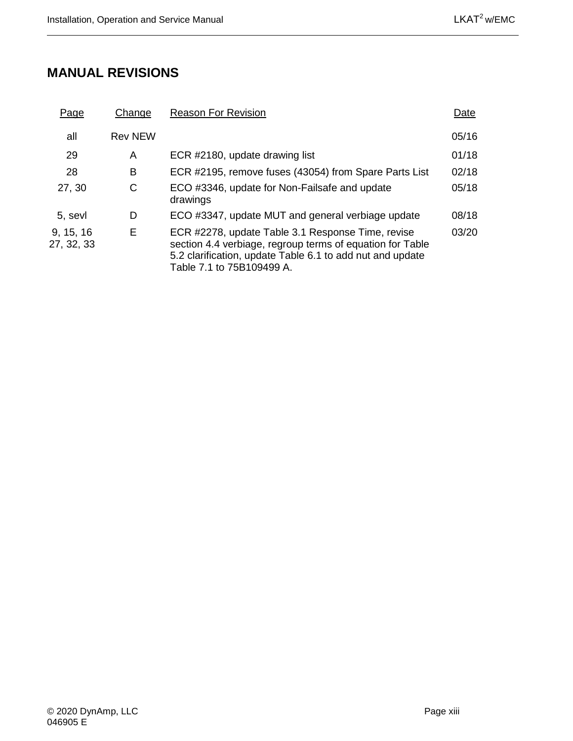## <span id="page-12-0"></span>**MANUAL REVISIONS**

| <u>Page</u>             | Change         | <b>Reason For Revision</b>                                                                                                                                                                               | Date  |
|-------------------------|----------------|----------------------------------------------------------------------------------------------------------------------------------------------------------------------------------------------------------|-------|
| all                     | <b>Rev NEW</b> |                                                                                                                                                                                                          | 05/16 |
| 29                      | A              | ECR #2180, update drawing list                                                                                                                                                                           | 01/18 |
| 28                      | B              | ECR #2195, remove fuses (43054) from Spare Parts List                                                                                                                                                    | 02/18 |
| 27, 30                  | C              | ECO #3346, update for Non-Failsafe and update<br>drawings                                                                                                                                                | 05/18 |
| 5. sevl                 | D              | ECO #3347, update MUT and general verbiage update                                                                                                                                                        | 08/18 |
| 9, 15, 16<br>27, 32, 33 | Е              | ECR #2278, update Table 3.1 Response Time, revise<br>section 4.4 verbiage, regroup terms of equation for Table<br>5.2 clarification, update Table 6.1 to add nut and update<br>Table 7.1 to 75B109499 A. | 03/20 |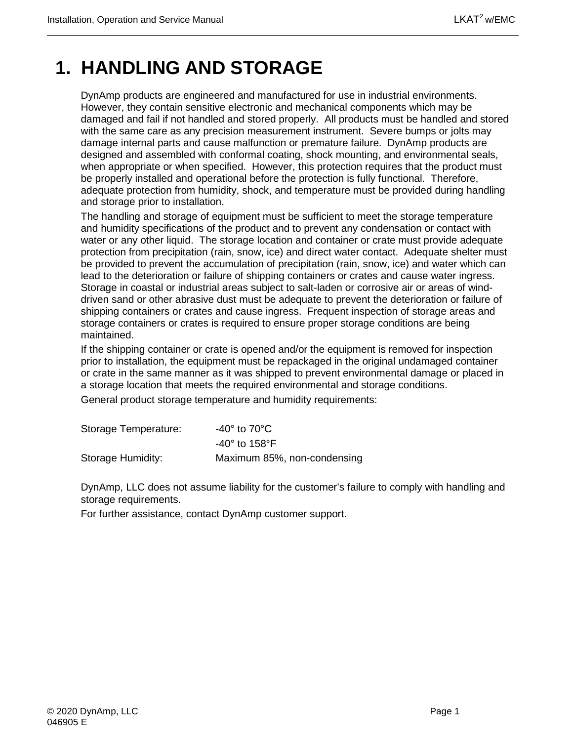## <span id="page-14-0"></span>**1. HANDLING AND STORAGE**

DynAmp products are engineered and manufactured for use in industrial environments. However, they contain sensitive electronic and mechanical components which may be damaged and fail if not handled and stored properly. All products must be handled and stored with the same care as any precision measurement instrument. Severe bumps or jolts may damage internal parts and cause malfunction or premature failure. DynAmp products are designed and assembled with conformal coating, shock mounting, and environmental seals, when appropriate or when specified. However, this protection requires that the product must be properly installed and operational before the protection is fully functional. Therefore, adequate protection from humidity, shock, and temperature must be provided during handling and storage prior to installation.

The handling and storage of equipment must be sufficient to meet the storage temperature and humidity specifications of the product and to prevent any condensation or contact with water or any other liquid. The storage location and container or crate must provide adequate protection from precipitation (rain, snow, ice) and direct water contact. Adequate shelter must be provided to prevent the accumulation of precipitation (rain, snow, ice) and water which can lead to the deterioration or failure of shipping containers or crates and cause water ingress. Storage in coastal or industrial areas subject to salt-laden or corrosive air or areas of winddriven sand or other abrasive dust must be adequate to prevent the deterioration or failure of shipping containers or crates and cause ingress. Frequent inspection of storage areas and storage containers or crates is required to ensure proper storage conditions are being maintained.

If the shipping container or crate is opened and/or the equipment is removed for inspection prior to installation, the equipment must be repackaged in the original undamaged container or crate in the same manner as it was shipped to prevent environmental damage or placed in a storage location that meets the required environmental and storage conditions.

General product storage temperature and humidity requirements:

| Storage Temperature: | -40° to 70°C $\,$             |
|----------------------|-------------------------------|
|                      | $-40^\circ$ to 158 $^\circ$ F |
| Storage Humidity:    | Maximum 85%, non-condensing   |

DynAmp, LLC does not assume liability for the customer's failure to comply with handling and storage requirements.

For further assistance, contact DynAmp customer support.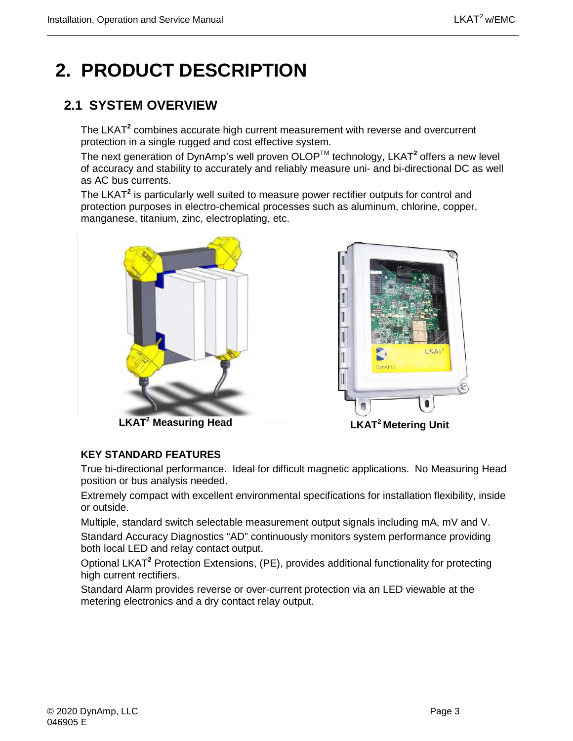## <span id="page-16-0"></span>**2. PRODUCT DESCRIPTION**

## <span id="page-16-1"></span>**2.1 SYSTEM OVERVIEW**

The LKAT**<sup>2</sup>** combines accurate high current measurement with reverse and overcurrent protection in a single rugged and cost effective system.

The next generation of DynAmp's well proven OLOPTM technology, LKAT**<sup>2</sup>** offers a new level of accuracy and stability to accurately and reliably measure uni- and bi-directional DC as well as AC bus currents.

The LKAT**<sup>2</sup>** is particularly well suited to measure power rectifier outputs for control and protection purposes in electro-chemical processes such as aluminum, chlorine, copper, manganese, titanium, zinc, electroplating, etc.





**LKAT2 Measuring Head**

**LKAT2 Metering Unit**

#### **KEY STANDARD FEATURES**

True bi-directional performance. Ideal for difficult magnetic applications. No Measuring Head position or bus analysis needed.

Extremely compact with excellent environmental specifications for installation flexibility, inside or outside.

Multiple, standard switch selectable measurement output signals including mA, mV and V. Standard Accuracy Diagnostics "AD" continuously monitors system performance providing both local LED and relay contact output.

Optional LKAT**<sup>2</sup>** Protection Extensions, (PE), provides additional functionality for protecting high current rectifiers.

Standard Alarm provides reverse or over-current protection via an LED viewable at the metering electronics and a dry contact relay output.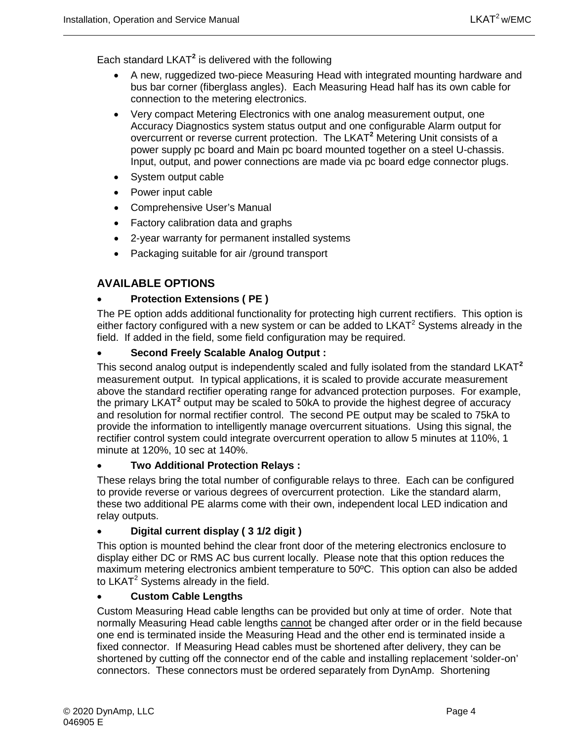Each standard LKAT**<sup>2</sup>** is delivered with the following

- A new, ruggedized two-piece Measuring Head with integrated mounting hardware and bus bar corner (fiberglass angles). Each Measuring Head half has its own cable for connection to the metering electronics.
- Very compact Metering Electronics with one analog measurement output, one Accuracy Diagnostics system status output and one configurable Alarm output for overcurrent or reverse current protection. The LKAT**<sup>2</sup>** Metering Unit consists of a power supply pc board and Main pc board mounted together on a steel U-chassis. Input, output, and power connections are made via pc board edge connector plugs.
- System output cable
- Power input cable
- Comprehensive User's Manual
- Factory calibration data and graphs
- 2-year warranty for permanent installed systems
- Packaging suitable for air /ground transport

#### **AVAILABLE OPTIONS**

#### • **Protection Extensions ( PE )**

The PE option adds additional functionality for protecting high current rectifiers. This option is either factory configured with a new system or can be added to LKAT<sup>2</sup> Systems already in the field. If added in the field, some field configuration may be required.

#### • **Second Freely Scalable Analog Output :**

This second analog output is independently scaled and fully isolated from the standard LKAT**<sup>2</sup>** measurement output. In typical applications, it is scaled to provide accurate measurement above the standard rectifier operating range for advanced protection purposes. For example, the primary LKAT**<sup>2</sup>** output may be scaled to 50kA to provide the highest degree of accuracy and resolution for normal rectifier control. The second PE output may be scaled to 75kA to provide the information to intelligently manage overcurrent situations. Using this signal, the rectifier control system could integrate overcurrent operation to allow 5 minutes at 110%, 1 minute at 120%, 10 sec at 140%.

#### • **Two Additional Protection Relays :**

These relays bring the total number of configurable relays to three. Each can be configured to provide reverse or various degrees of overcurrent protection. Like the standard alarm, these two additional PE alarms come with their own, independent local LED indication and relay outputs.

#### • **Digital current display ( 3 1/2 digit )**

This option is mounted behind the clear front door of the metering electronics enclosure to display either DC or RMS AC bus current locally. Please note that this option reduces the maximum metering electronics ambient temperature to 50ºC. This option can also be added to LKAT $2$  Systems already in the field.

#### • **Custom Cable Lengths**

Custom Measuring Head cable lengths can be provided but only at time of order. Note that normally Measuring Head cable lengths cannot be changed after order or in the field because one end is terminated inside the Measuring Head and the other end is terminated inside a fixed connector. If Measuring Head cables must be shortened after delivery, they can be shortened by cutting off the connector end of the cable and installing replacement 'solder-on' connectors. These connectors must be ordered separately from DynAmp. Shortening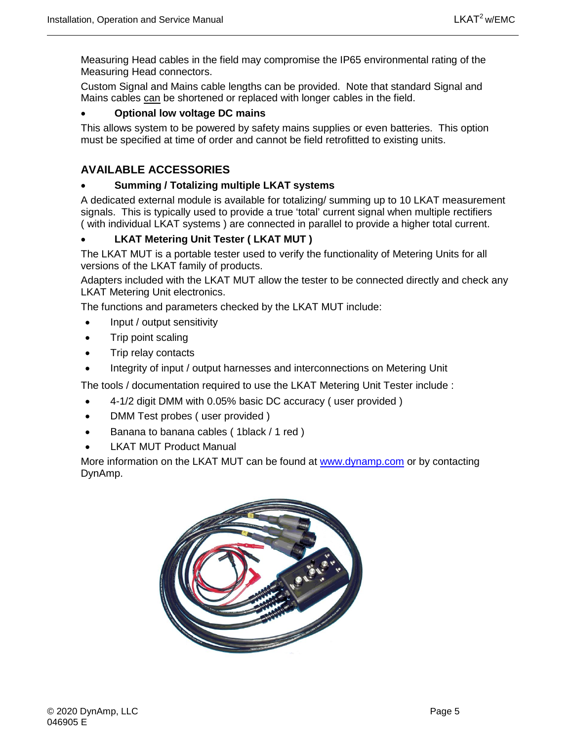Measuring Head cables in the field may compromise the IP65 environmental rating of the Measuring Head connectors.

Custom Signal and Mains cable lengths can be provided. Note that standard Signal and Mains cables can be shortened or replaced with longer cables in the field.

#### • **Optional low voltage DC mains**

This allows system to be powered by safety mains supplies or even batteries. This option must be specified at time of order and cannot be field retrofitted to existing units.

### **AVAILABLE ACCESSORIES**

#### • **Summing / Totalizing multiple LKAT systems**

A dedicated external module is available for totalizing/ summing up to 10 LKAT measurement signals. This is typically used to provide a true 'total' current signal when multiple rectifiers ( with individual LKAT systems ) are connected in parallel to provide a higher total current.

#### • **LKAT Metering Unit Tester ( LKAT MUT )**

The LKAT MUT is a portable tester used to verify the functionality of Metering Units for all versions of the LKAT family of products.

Adapters included with the LKAT MUT allow the tester to be connected directly and check any LKAT Metering Unit electronics.

The functions and parameters checked by the LKAT MUT include:

- Input / output sensitivity
- Trip point scaling
- Trip relay contacts
- Integrity of input / output harnesses and interconnections on Metering Unit

The tools / documentation required to use the LKAT Metering Unit Tester include :

- 4-1/2 digit DMM with 0.05% basic DC accuracy ( user provided )
- DMM Test probes ( user provided )
- Banana to banana cables ( 1black / 1 red )
- **LKAT MUT Product Manual**

More information on the LKAT MUT can be found at [www.dynamp.com](http://www.dynamp.com/) or by contacting DynAmp.

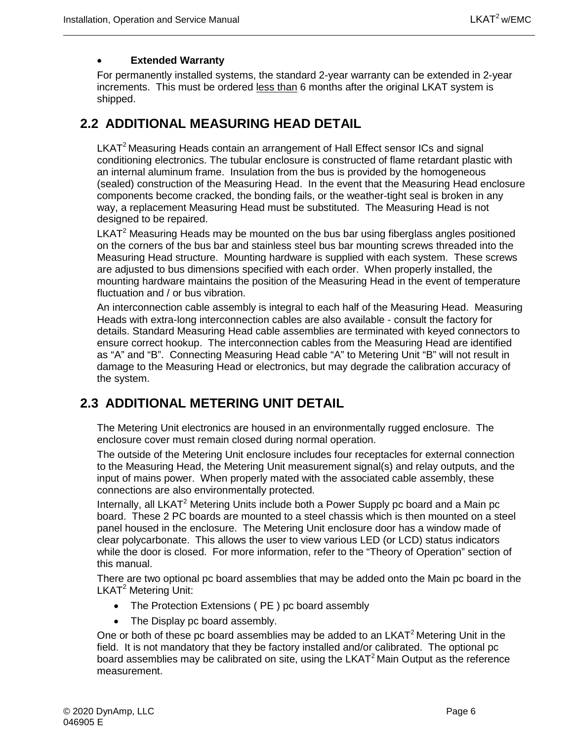#### • **Extended Warranty**

For permanently installed systems, the standard 2-year warranty can be extended in 2-year increments. This must be ordered less than 6 months after the original LKAT system is shipped.

### <span id="page-19-0"></span>**2.2 ADDITIONAL MEASURING HEAD DETAIL**

LKAT<sup>2</sup> Measuring Heads contain an arrangement of Hall Effect sensor ICs and signal conditioning electronics. The tubular enclosure is constructed of flame retardant plastic with an internal aluminum frame. Insulation from the bus is provided by the homogeneous (sealed) construction of the Measuring Head. In the event that the Measuring Head enclosure components become cracked, the bonding fails, or the weather-tight seal is broken in any way, a replacement Measuring Head must be substituted. The Measuring Head is not designed to be repaired.

 $LKAT<sup>2</sup>$  Measuring Heads may be mounted on the bus bar using fiberglass angles positioned on the corners of the bus bar and stainless steel bus bar mounting screws threaded into the Measuring Head structure. Mounting hardware is supplied with each system. These screws are adjusted to bus dimensions specified with each order. When properly installed, the mounting hardware maintains the position of the Measuring Head in the event of temperature fluctuation and / or bus vibration.

An interconnection cable assembly is integral to each half of the Measuring Head. Measuring Heads with extra-long interconnection cables are also available - consult the factory for details. Standard Measuring Head cable assemblies are terminated with keyed connectors to ensure correct hookup. The interconnection cables from the Measuring Head are identified as "A" and "B". Connecting Measuring Head cable "A" to Metering Unit "B" will not result in damage to the Measuring Head or electronics, but may degrade the calibration accuracy of the system.

## <span id="page-19-1"></span>**2.3 ADDITIONAL METERING UNIT DETAIL**

The Metering Unit electronics are housed in an environmentally rugged enclosure. The enclosure cover must remain closed during normal operation.

The outside of the Metering Unit enclosure includes four receptacles for external connection to the Measuring Head, the Metering Unit measurement signal(s) and relay outputs, and the input of mains power. When properly mated with the associated cable assembly, these connections are also environmentally protected.

Internally, all LKAT<sup>2</sup> Metering Units include both a Power Supply pc board and a Main pc board. These 2 PC boards are mounted to a steel chassis which is then mounted on a steel panel housed in the enclosure. The Metering Unit enclosure door has a window made of clear polycarbonate. This allows the user to view various LED (or LCD) status indicators while the door is closed. For more information, refer to the "Theory of Operation" section of this manual.

There are two optional pc board assemblies that may be added onto the Main pc board in the LKAT<sup>2</sup> Metering Unit:

- The Protection Extensions ( PE ) pc board assembly
- The Display pc board assembly.

One or both of these pc board assemblies may be added to an  $LKAT<sup>2</sup>$  Metering Unit in the field. It is not mandatory that they be factory installed and/or calibrated. The optional pc board assemblies may be calibrated on site, using the LKAT<sup>2</sup> Main Output as the reference measurement.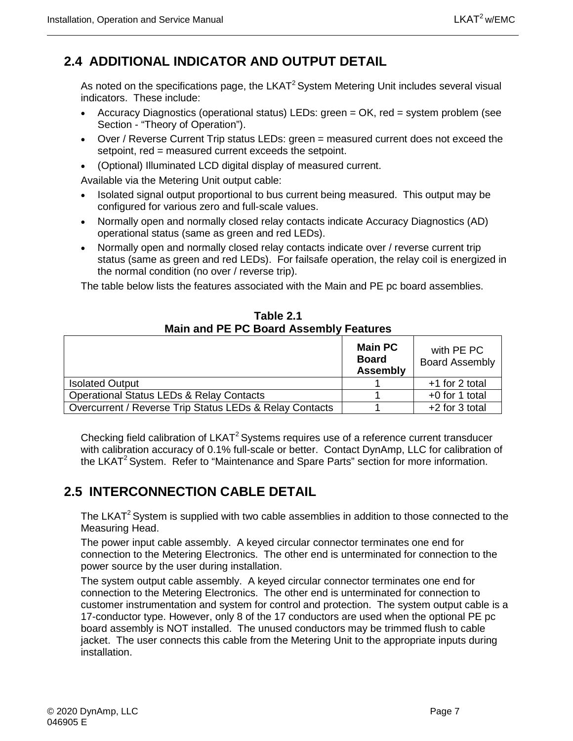## <span id="page-20-0"></span>**2.4 ADDITIONAL INDICATOR AND OUTPUT DETAIL**

As noted on the specifications page, the LKAT<sup>2</sup> System Metering Unit includes several visual indicators. These include:

- Accuracy Diagnostics (operational status) LEDs: green = OK, red = system problem (see Section - "Theory of Operation").
- Over / Reverse Current Trip status LEDs: green = measured current does not exceed the setpoint, red = measured current exceeds the setpoint.
- (Optional) Illuminated LCD digital display of measured current.

Available via the Metering Unit output cable:

- Isolated signal output proportional to bus current being measured. This output may be configured for various zero and full-scale values.
- Normally open and normally closed relay contacts indicate Accuracy Diagnostics (AD) operational status (same as green and red LEDs).
- Normally open and normally closed relay contacts indicate over / reverse current trip status (same as green and red LEDs). For failsafe operation, the relay coil is energized in the normal condition (no over / reverse trip).

The table below lists the features associated with the Main and PE pc board assemblies.

<span id="page-20-2"></span>

|                                                         | <b>Main PC</b><br><b>Board</b><br><b>Assembly</b> | with PE PC<br><b>Board Assembly</b> |
|---------------------------------------------------------|---------------------------------------------------|-------------------------------------|
| <b>Isolated Output</b>                                  |                                                   | +1 for 2 total                      |
| <b>Operational Status LEDs &amp; Relay Contacts</b>     |                                                   | $+0$ for 1 total                    |
| Overcurrent / Reverse Trip Status LEDs & Relay Contacts |                                                   | +2 for 3 total                      |

**Table 2.1 Main and PE PC Board Assembly Features**

Checking field calibration of  $LKAT<sup>2</sup>$  Systems requires use of a reference current transducer with calibration accuracy of 0.1% full-scale or better. Contact DynAmp, LLC for calibration of the LKAT<sup>2</sup> System. Refer to "Maintenance and Spare Parts" section for more information.

## <span id="page-20-1"></span>**2.5 INTERCONNECTION CABLE DETAIL**

The LKAT<sup>2</sup> System is supplied with two cable assemblies in addition to those connected to the Measuring Head.

The power input cable assembly. A keyed circular connector terminates one end for connection to the Metering Electronics. The other end is unterminated for connection to the power source by the user during installation.

The system output cable assembly. A keyed circular connector terminates one end for connection to the Metering Electronics. The other end is unterminated for connection to customer instrumentation and system for control and protection. The system output cable is a 17-conductor type. However, only 8 of the 17 conductors are used when the optional PE pc board assembly is NOT installed. The unused conductors may be trimmed flush to cable jacket. The user connects this cable from the Metering Unit to the appropriate inputs during installation.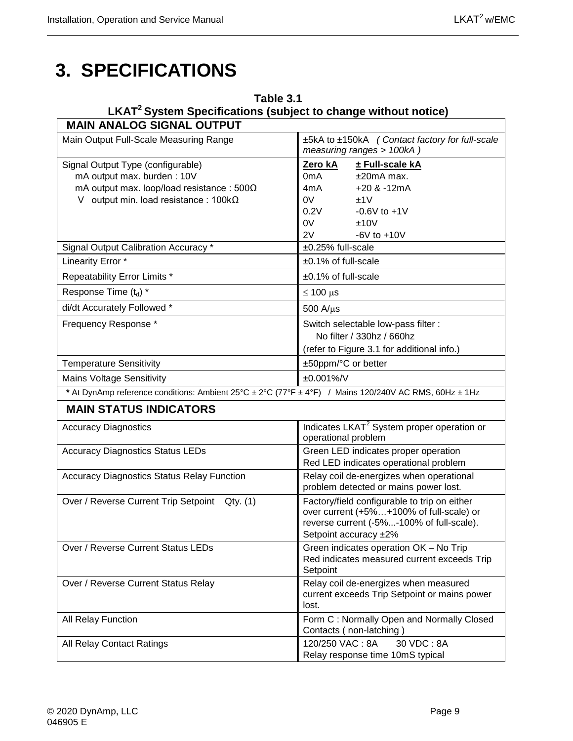## <span id="page-22-0"></span>**3. SPECIFICATIONS**

## **Table 3.1 LKAT2 System Specifications (subject to change without notice)**

<span id="page-22-1"></span>

| <b>MAIN ANALOG SIGNAL OUTPUT</b>                                                                      |                                                                                                                                                                |
|-------------------------------------------------------------------------------------------------------|----------------------------------------------------------------------------------------------------------------------------------------------------------------|
| Main Output Full-Scale Measuring Range                                                                | ±5kA to ±150kA (Contact factory for full-scale<br>measuring ranges > 100kA)                                                                                    |
| Signal Output Type (configurable)                                                                     | Zero kA<br>± Full-scale kA                                                                                                                                     |
| mA output max. burden: 10V                                                                            | 0 <sub>m</sub> A<br>$±20mA$ max.                                                                                                                               |
| mA output max. loop/load resistance: $500\Omega$                                                      | $+20$ & $-12mA$<br>4mA                                                                                                                                         |
| V output min. load resistance: $100k\Omega$                                                           | 0V<br>±1V                                                                                                                                                      |
|                                                                                                       | 0.2V<br>$-0.6V$ to $+1V$                                                                                                                                       |
|                                                                                                       | 0V<br>±10V                                                                                                                                                     |
| Signal Output Calibration Accuracy *                                                                  | 2V<br>$-6V$ to $+10V$<br>±0.25% full-scale                                                                                                                     |
|                                                                                                       |                                                                                                                                                                |
| Linearity Error *                                                                                     | ±0.1% of full-scale                                                                                                                                            |
| Repeatability Error Limits *                                                                          | ±0.1% of full-scale                                                                                                                                            |
| Response Time (t <sub>d</sub> ) *                                                                     | $\leq 100 \text{ }\mu\text{s}$                                                                                                                                 |
| di/dt Accurately Followed *                                                                           | $500$ A/ $\mu$ s                                                                                                                                               |
| Frequency Response *                                                                                  | Switch selectable low-pass filter :                                                                                                                            |
|                                                                                                       | No filter / 330hz / 660hz                                                                                                                                      |
|                                                                                                       | (refer to Figure 3.1 for additional info.)                                                                                                                     |
| <b>Temperature Sensitivity</b>                                                                        | ±50ppm/°C or better                                                                                                                                            |
| <b>Mains Voltage Sensitivity</b>                                                                      | ±0.001%/V                                                                                                                                                      |
| * At DynAmp reference conditions: Ambient 25°C ± 2°C (77°F ± 4°F) / Mains 120/240V AC RMS, 60Hz ± 1Hz |                                                                                                                                                                |
| <b>MAIN STATUS INDICATORS</b>                                                                         |                                                                                                                                                                |
| <b>Accuracy Diagnostics</b>                                                                           | Indicates LKAT <sup>2</sup> System proper operation or<br>operational problem                                                                                  |
| <b>Accuracy Diagnostics Status LEDs</b>                                                               | Green LED indicates proper operation<br>Red LED indicates operational problem                                                                                  |
| <b>Accuracy Diagnostics Status Relay Function</b>                                                     | Relay coil de-energizes when operational<br>problem detected or mains power lost.                                                                              |
| Over / Reverse Current Trip Setpoint Qty. (1)                                                         | Factory/field configurable to trip on either<br>over current (+5%+100% of full-scale) or<br>reverse current (-5%-100% of full-scale).<br>Setpoint accuracy ±2% |
| Over / Reverse Current Status LEDs                                                                    | Green indicates operation OK - No Trip<br>Red indicates measured current exceeds Trip<br>Setpoint                                                              |
| Over / Reverse Current Status Relay                                                                   | Relay coil de-energizes when measured<br>current exceeds Trip Setpoint or mains power<br>lost.                                                                 |
| All Relay Function                                                                                    | Form C: Normally Open and Normally Closed<br>Contacts (non-latching)                                                                                           |
| <b>All Relay Contact Ratings</b>                                                                      | 120/250 VAC: 8A<br>30 VDC: 8A<br>Relay response time 10mS typical                                                                                              |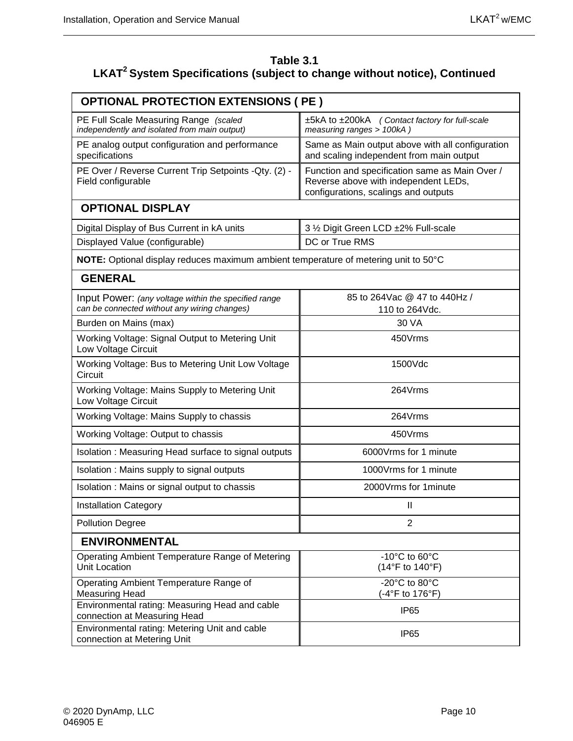#### **Table 3.1 LKAT2 System Specifications (subject to change without notice), Continued**

| <b>OPTIONAL PROTECTION EXTENSIONS ( PE )</b>                                                         |                                                                                                                                |  |  |  |  |  |
|------------------------------------------------------------------------------------------------------|--------------------------------------------------------------------------------------------------------------------------------|--|--|--|--|--|
| PE Full Scale Measuring Range (scaled<br>independently and isolated from main output)                | ±5kA to ±200kA (Contact factory for full-scale<br>measuring ranges > 100kA)                                                    |  |  |  |  |  |
| PE analog output configuration and performance<br>specifications                                     | Same as Main output above with all configuration<br>and scaling independent from main output                                   |  |  |  |  |  |
| PE Over / Reverse Current Trip Setpoints - Qty. (2) -<br>Field configurable                          | Function and specification same as Main Over /<br>Reverse above with independent LEDs,<br>configurations, scalings and outputs |  |  |  |  |  |
| <b>OPTIONAL DISPLAY</b>                                                                              |                                                                                                                                |  |  |  |  |  |
| Digital Display of Bus Current in kA units                                                           | 3 1/2 Digit Green LCD ±2% Full-scale                                                                                           |  |  |  |  |  |
| Displayed Value (configurable)                                                                       | DC or True RMS                                                                                                                 |  |  |  |  |  |
| NOTE: Optional display reduces maximum ambient temperature of metering unit to 50°C                  |                                                                                                                                |  |  |  |  |  |
| <b>GENERAL</b>                                                                                       |                                                                                                                                |  |  |  |  |  |
| Input Power: (any voltage within the specified range<br>can be connected without any wiring changes) | 85 to 264Vac @ 47 to 440Hz /<br>110 to 264Vdc.                                                                                 |  |  |  |  |  |
| Burden on Mains (max)                                                                                | 30 VA                                                                                                                          |  |  |  |  |  |
| Working Voltage: Signal Output to Metering Unit<br>Low Voltage Circuit                               | 450Vrms                                                                                                                        |  |  |  |  |  |
| Working Voltage: Bus to Metering Unit Low Voltage<br>Circuit                                         | 1500Vdc                                                                                                                        |  |  |  |  |  |
| Working Voltage: Mains Supply to Metering Unit<br>Low Voltage Circuit                                | 264Vrms                                                                                                                        |  |  |  |  |  |
| Working Voltage: Mains Supply to chassis                                                             | 264Vrms                                                                                                                        |  |  |  |  |  |
| Working Voltage: Output to chassis                                                                   | 450Vrms                                                                                                                        |  |  |  |  |  |
| Isolation: Measuring Head surface to signal outputs                                                  | 6000Vrms for 1 minute                                                                                                          |  |  |  |  |  |
| Isolation: Mains supply to signal outputs                                                            | 1000Vrms for 1 minute                                                                                                          |  |  |  |  |  |
| Isolation: Mains or signal output to chassis                                                         | 2000 Vrms for 1 minute                                                                                                         |  |  |  |  |  |
| <b>Installation Category</b>                                                                         | Ш                                                                                                                              |  |  |  |  |  |
| <b>Pollution Degree</b>                                                                              | $\overline{2}$                                                                                                                 |  |  |  |  |  |
| <b>ENVIRONMENTAL</b>                                                                                 |                                                                                                                                |  |  |  |  |  |
| Operating Ambient Temperature Range of Metering<br>Unit Location                                     | -10 $^{\circ}$ C to 60 $^{\circ}$ C<br>(14°F to 140°F)                                                                         |  |  |  |  |  |
| Operating Ambient Temperature Range of<br><b>Measuring Head</b>                                      | -20°C to 80°C<br>(-4°F to 176°F)                                                                                               |  |  |  |  |  |
| Environmental rating: Measuring Head and cable<br>connection at Measuring Head                       | IP <sub>65</sub>                                                                                                               |  |  |  |  |  |
| Environmental rating: Metering Unit and cable<br>connection at Metering Unit                         | IP <sub>65</sub>                                                                                                               |  |  |  |  |  |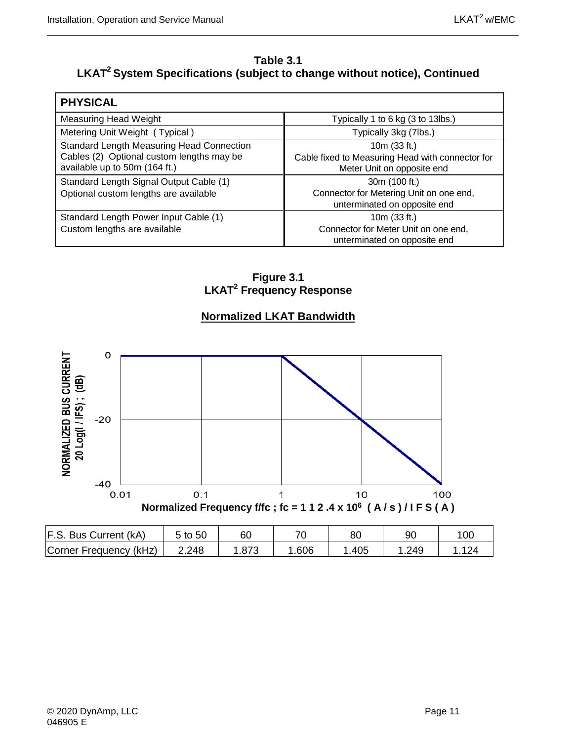#### **Table 3.1 LKAT2 System Specifications (subject to change without notice), Continued**

| <b>PHYSICAL</b>                                  |                                                  |
|--------------------------------------------------|--------------------------------------------------|
| Measuring Head Weight                            | Typically 1 to 6 kg (3 to 13lbs.)                |
| Metering Unit Weight (Typical)                   | Typically 3kg (7lbs.)                            |
| <b>Standard Length Measuring Head Connection</b> | 10m (33 ft.)                                     |
| Cables (2) Optional custom lengths may be        | Cable fixed to Measuring Head with connector for |
| available up to 50m (164 ft.)                    | Meter Unit on opposite end                       |
| Standard Length Signal Output Cable (1)          | 30m (100 ft.)                                    |
| Optional custom lengths are available            | Connector for Metering Unit on one end,          |
|                                                  | unterminated on opposite end                     |
| Standard Length Power Input Cable (1)            | 10m (33 ft.)                                     |
| Custom lengths are available                     | Connector for Meter Unit on one end,             |
|                                                  | unterminated on opposite end                     |

**Figure 3.1 LKAT2 Frequency Response**

### **Normalized LKAT Bandwidth**

<span id="page-24-0"></span>

| F.S. Bus Current (kA)  | 5 to 50 | 60 |      | 80   |      | 100 |
|------------------------|---------|----|------|------|------|-----|
| Corner Frequency (kHz) | 2.248   |    | .606 | .405 | .249 |     |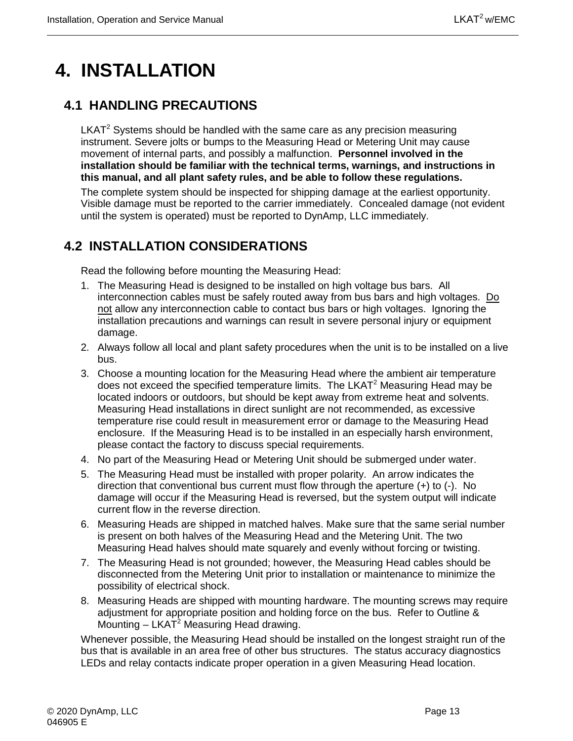## <span id="page-26-0"></span>**4. INSTALLATION**

## <span id="page-26-1"></span>**4.1 HANDLING PRECAUTIONS**

 $LKAT<sup>2</sup>$  Systems should be handled with the same care as any precision measuring instrument. Severe jolts or bumps to the Measuring Head or Metering Unit may cause movement of internal parts, and possibly a malfunction. **Personnel involved in the installation should be familiar with the technical terms, warnings, and instructions in this manual, and all plant safety rules, and be able to follow these regulations.**

The complete system should be inspected for shipping damage at the earliest opportunity. Visible damage must be reported to the carrier immediately. Concealed damage (not evident until the system is operated) must be reported to DynAmp, LLC immediately.

## <span id="page-26-2"></span>**4.2 INSTALLATION CONSIDERATIONS**

Read the following before mounting the Measuring Head:

- 1. The Measuring Head is designed to be installed on high voltage bus bars. All interconnection cables must be safely routed away from bus bars and high voltages. Do not allow any interconnection cable to contact bus bars or high voltages. Ignoring the installation precautions and warnings can result in severe personal injury or equipment damage.
- 2. Always follow all local and plant safety procedures when the unit is to be installed on a live bus.
- 3. Choose a mounting location for the Measuring Head where the ambient air temperature does not exceed the specified temperature limits. The LKAT<sup>2</sup> Measuring Head may be located indoors or outdoors, but should be kept away from extreme heat and solvents. Measuring Head installations in direct sunlight are not recommended, as excessive temperature rise could result in measurement error or damage to the Measuring Head enclosure. If the Measuring Head is to be installed in an especially harsh environment, please contact the factory to discuss special requirements.
- 4. No part of the Measuring Head or Metering Unit should be submerged under water.
- 5. The Measuring Head must be installed with proper polarity. An arrow indicates the direction that conventional bus current must flow through the aperture (+) to (-). No damage will occur if the Measuring Head is reversed, but the system output will indicate current flow in the reverse direction.
- 6. Measuring Heads are shipped in matched halves. Make sure that the same serial number is present on both halves of the Measuring Head and the Metering Unit. The two Measuring Head halves should mate squarely and evenly without forcing or twisting.
- 7. The Measuring Head is not grounded; however, the Measuring Head cables should be disconnected from the Metering Unit prior to installation or maintenance to minimize the possibility of electrical shock.
- 8. Measuring Heads are shipped with mounting hardware. The mounting screws may require adjustment for appropriate position and holding force on the bus. Refer to Outline & Mounting  $-$  LKAT<sup>2</sup> Measuring Head drawing.

Whenever possible, the Measuring Head should be installed on the longest straight run of the bus that is available in an area free of other bus structures. The status accuracy diagnostics LEDs and relay contacts indicate proper operation in a given Measuring Head location.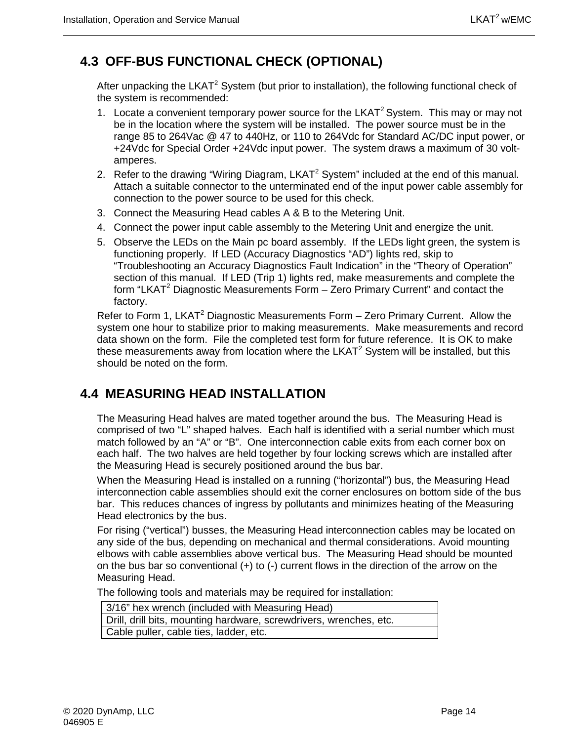## <span id="page-27-0"></span>**4.3 OFF-BUS FUNCTIONAL CHECK (OPTIONAL)**

After unpacking the LKAT<sup>2</sup> System (but prior to installation), the following functional check of the system is recommended:

- 1. Locate a convenient temporary power source for the LKAT<sup>2</sup> System. This may or may not be in the location where the system will be installed. The power source must be in the range 85 to 264Vac @ 47 to 440Hz, or 110 to 264Vdc for Standard AC/DC input power, or +24Vdc for Special Order +24Vdc input power. The system draws a maximum of 30 voltamperes.
- 2. Refer to the drawing "Wiring Diagram,  $LKAT^2$  System" included at the end of this manual. Attach a suitable connector to the unterminated end of the input power cable assembly for connection to the power source to be used for this check.
- 3. Connect the Measuring Head cables A & B to the Metering Unit.
- 4. Connect the power input cable assembly to the Metering Unit and energize the unit.
- 5. Observe the LEDs on the Main pc board assembly. If the LEDs light green, the system is functioning properly. If LED (Accuracy Diagnostics "AD") lights red, skip to "Troubleshooting an Accuracy Diagnostics Fault Indication" in the "Theory of Operation" section of this manual. If LED (Trip 1) lights red, make measurements and complete the form "LKAT<sup>2</sup> Diagnostic Measurements Form  $-$  Zero Primary Current" and contact the factory.

Refer to Form 1, LKAT<sup>2</sup> Diagnostic Measurements Form – Zero Primary Current. Allow the system one hour to stabilize prior to making measurements. Make measurements and record data shown on the form. File the completed test form for future reference. It is OK to make these measurements away from location where the LKAT<sup>2</sup> System will be installed, but this should be noted on the form.

## <span id="page-27-1"></span>**4.4 MEASURING HEAD INSTALLATION**

The Measuring Head halves are mated together around the bus. The Measuring Head is comprised of two "L" shaped halves. Each half is identified with a serial number which must match followed by an "A" or "B". One interconnection cable exits from each corner box on each half. The two halves are held together by four locking screws which are installed after the Measuring Head is securely positioned around the bus bar.

When the Measuring Head is installed on a running ("horizontal") bus, the Measuring Head interconnection cable assemblies should exit the corner enclosures on bottom side of the bus bar. This reduces chances of ingress by pollutants and minimizes heating of the Measuring Head electronics by the bus.

For rising ("vertical") busses, the Measuring Head interconnection cables may be located on any side of the bus, depending on mechanical and thermal considerations. Avoid mounting elbows with cable assemblies above vertical bus. The Measuring Head should be mounted on the bus bar so conventional  $(+)$  to  $(-)$  current flows in the direction of the arrow on the Measuring Head.

The following tools and materials may be required for installation:

| 3/16" hex wrench (included with Measuring Head)                                 |  |  |  |  |  |
|---------------------------------------------------------------------------------|--|--|--|--|--|
| <sup>1</sup> Drill, drill bits, mounting hardware, screwdrivers, wrenches, etc. |  |  |  |  |  |
| Cable puller, cable ties, ladder, etc.                                          |  |  |  |  |  |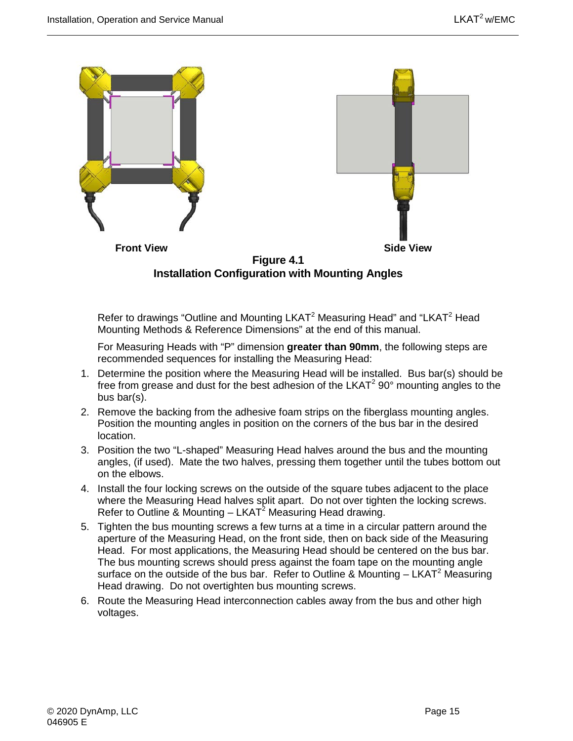

<span id="page-28-0"></span>Refer to drawings "Outline and Mounting LKAT<sup>2</sup> Measuring Head" and "LKAT<sup>2</sup> Head Mounting Methods & Reference Dimensions" at the end of this manual.

For Measuring Heads with "P" dimension **greater than 90mm**, the following steps are recommended sequences for installing the Measuring Head:

- 1. Determine the position where the Measuring Head will be installed. Bus bar(s) should be free from grease and dust for the best adhesion of the LKAT<sup>2</sup> 90 $^{\circ}$  mounting angles to the bus bar(s).
- 2. Remove the backing from the adhesive foam strips on the fiberglass mounting angles. Position the mounting angles in position on the corners of the bus bar in the desired location.
- 3. Position the two "L-shaped" Measuring Head halves around the bus and the mounting angles, (if used). Mate the two halves, pressing them together until the tubes bottom out on the elbows.
- 4. Install the four locking screws on the outside of the square tubes adjacent to the place where the Measuring Head halves split apart. Do not over tighten the locking screws. Refer to Outline & Mounting  $-$  LKAT<sup>2</sup> Measuring Head drawing.
- 5. Tighten the bus mounting screws a few turns at a time in a circular pattern around the aperture of the Measuring Head, on the front side, then on back side of the Measuring Head. For most applications, the Measuring Head should be centered on the bus bar. The bus mounting screws should press against the foam tape on the mounting angle surface on the outside of the bus bar. Refer to Outline & Mounting  $- LKAT<sup>2</sup>$  Measuring Head drawing. Do not overtighten bus mounting screws.
- 6. Route the Measuring Head interconnection cables away from the bus and other high voltages.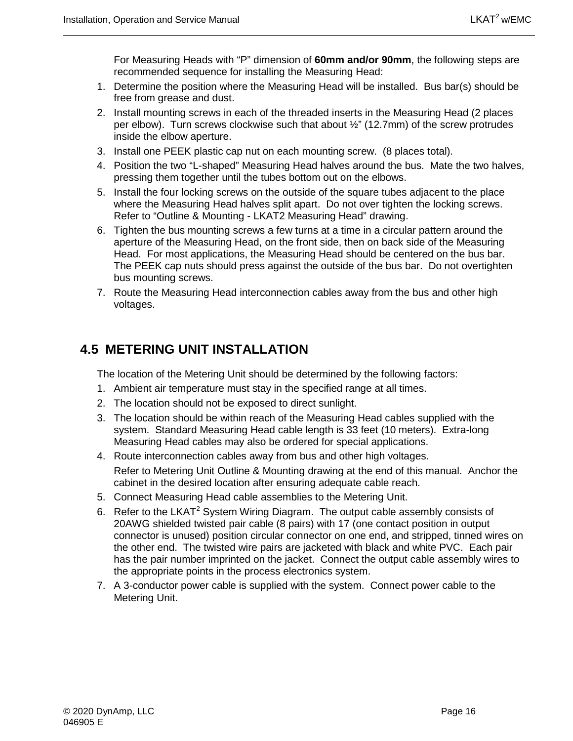For Measuring Heads with "P" dimension of **60mm and/or 90mm**, the following steps are recommended sequence for installing the Measuring Head:

- 1. Determine the position where the Measuring Head will be installed. Bus bar(s) should be free from grease and dust.
- 2. Install mounting screws in each of the threaded inserts in the Measuring Head (2 places per elbow). Turn screws clockwise such that about ½" (12.7mm) of the screw protrudes inside the elbow aperture.
- 3. Install one PEEK plastic cap nut on each mounting screw. (8 places total).
- 4. Position the two "L-shaped" Measuring Head halves around the bus. Mate the two halves, pressing them together until the tubes bottom out on the elbows.
- 5. Install the four locking screws on the outside of the square tubes adjacent to the place where the Measuring Head halves split apart. Do not over tighten the locking screws. Refer to "Outline & Mounting - LKAT2 Measuring Head" drawing.
- 6. Tighten the bus mounting screws a few turns at a time in a circular pattern around the aperture of the Measuring Head, on the front side, then on back side of the Measuring Head. For most applications, the Measuring Head should be centered on the bus bar. The PEEK cap nuts should press against the outside of the bus bar. Do not overtighten bus mounting screws.
- 7. Route the Measuring Head interconnection cables away from the bus and other high voltages.

## <span id="page-29-0"></span>**4.5 METERING UNIT INSTALLATION**

The location of the Metering Unit should be determined by the following factors:

- 1. Ambient air temperature must stay in the specified range at all times.
- 2. The location should not be exposed to direct sunlight.
- 3. The location should be within reach of the Measuring Head cables supplied with the system. Standard Measuring Head cable length is 33 feet (10 meters). Extra-long Measuring Head cables may also be ordered for special applications.
- 4. Route interconnection cables away from bus and other high voltages. Refer to Metering Unit Outline & Mounting drawing at the end of this manual. Anchor the cabinet in the desired location after ensuring adequate cable reach.
- 5. Connect Measuring Head cable assemblies to the Metering Unit.
- 6. Refer to the LKAT<sup>2</sup> System Wiring Diagram. The output cable assembly consists of 20AWG shielded twisted pair cable (8 pairs) with 17 (one contact position in output connector is unused) position circular connector on one end, and stripped, tinned wires on the other end. The twisted wire pairs are jacketed with black and white PVC. Each pair has the pair number imprinted on the jacket. Connect the output cable assembly wires to the appropriate points in the process electronics system.
- 7. A 3-conductor power cable is supplied with the system. Connect power cable to the Metering Unit.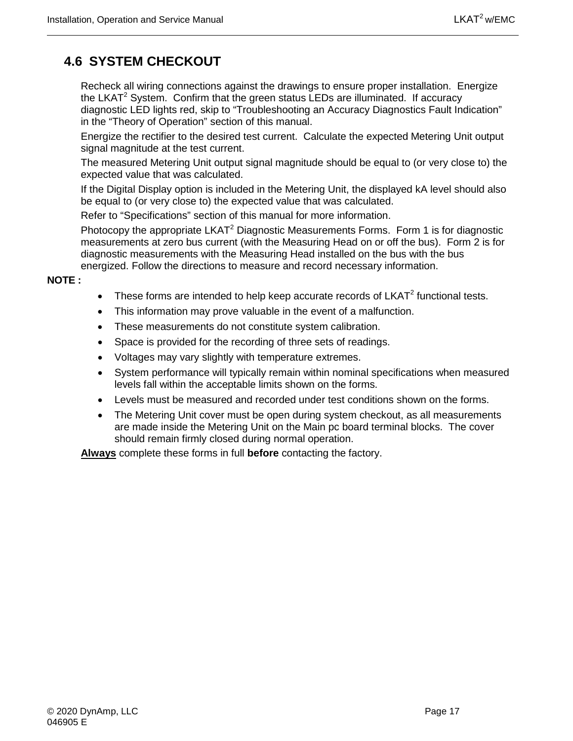## <span id="page-30-0"></span>**4.6 SYSTEM CHECKOUT**

Recheck all wiring connections against the drawings to ensure proper installation. Energize the LKAT<sup>2</sup> System. Confirm that the green status LEDs are illuminated. If accuracy diagnostic LED lights red, skip to "Troubleshooting an Accuracy Diagnostics Fault Indication" in the "Theory of Operation" section of this manual.

Energize the rectifier to the desired test current. Calculate the expected Metering Unit output signal magnitude at the test current.

The measured Metering Unit output signal magnitude should be equal to (or very close to) the expected value that was calculated.

If the Digital Display option is included in the Metering Unit, the displayed kA level should also be equal to (or very close to) the expected value that was calculated.

Refer to "Specifications" section of this manual for more information.

Photocopy the appropriate  $LKAT^2$  Diagnostic Measurements Forms. Form 1 is for diagnostic measurements at zero bus current (with the Measuring Head on or off the bus). Form 2 is for diagnostic measurements with the Measuring Head installed on the bus with the bus energized. Follow the directions to measure and record necessary information.

**NOTE :**

- These forms are intended to help keep accurate records of  $LKAT<sup>2</sup>$  functional tests.
- This information may prove valuable in the event of a malfunction.
- These measurements do not constitute system calibration.
- Space is provided for the recording of three sets of readings.
- Voltages may vary slightly with temperature extremes.
- System performance will typically remain within nominal specifications when measured levels fall within the acceptable limits shown on the forms.
- Levels must be measured and recorded under test conditions shown on the forms.
- The Metering Unit cover must be open during system checkout, as all measurements are made inside the Metering Unit on the Main pc board terminal blocks. The cover should remain firmly closed during normal operation.

**Always** complete these forms in full **before** contacting the factory.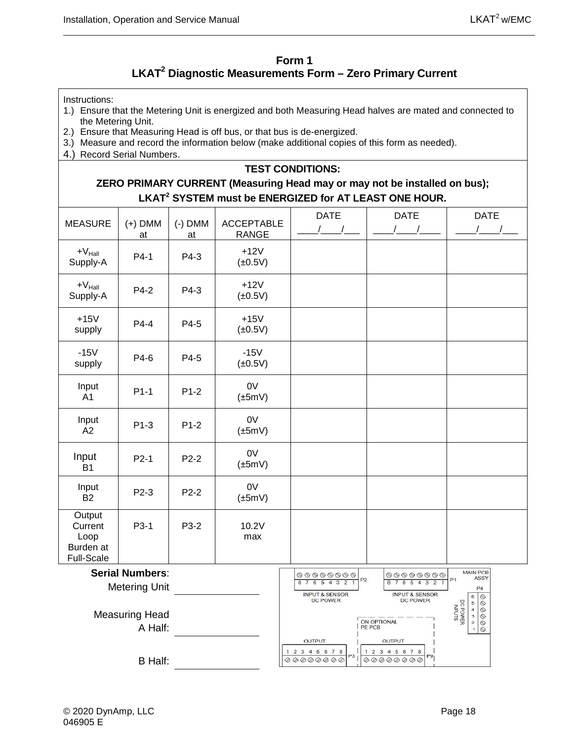#### **Form 1 LKAT2 Diagnostic Measurements Form – Zero Primary Current**

<span id="page-31-0"></span>Instructions:

- 1.) Ensure that the Metering Unit is energized and both Measuring Head halves are mated and connected to the Metering Unit.
- 2.) Ensure that Measuring Head is off bus, or that bus is de-energized.
- 3.) Measure and record the information below (make additional copies of this form as needed).
- 4.) Record Serial Numbers.

#### **TEST CONDITIONS:**

#### **ZERO PRIMARY CURRENT (Measuring Head may or may not be installed on bus); LKAT2 SYSTEM must be ENERGIZED for AT LEAST ONE HOUR.**

| <b>MEASURE</b>                                              | $(+)$ DMM<br>at | $(-)$ DMM<br>at | <b>ACCEPTABLE</b><br><b>RANGE</b>                                               | <b>DATE</b><br>$\sqrt{2}$                   | <b>DATE</b><br>$\frac{1}{2}$                                                                                        | <b>DATE</b> |
|-------------------------------------------------------------|-----------------|-----------------|---------------------------------------------------------------------------------|---------------------------------------------|---------------------------------------------------------------------------------------------------------------------|-------------|
| $+V_{\rm Hall}$<br>Supply-A                                 | $P4-1$          | P4-3            | $+12V$<br>$(\pm 0.5V)$                                                          |                                             |                                                                                                                     |             |
| $+V_{\rm Hall}$<br>Supply-A                                 | P4-2            | P4-3            | $+12V$<br>$(\pm 0.5V)$                                                          |                                             |                                                                                                                     |             |
| $+15V$<br>supply                                            | P4-4            | P4-5            | $+15V$<br>$(\pm 0.5V)$                                                          |                                             |                                                                                                                     |             |
| $-15V$<br>supply                                            | P4-6            | P4-5            | $-15V$<br>$(\pm 0.5V)$                                                          |                                             |                                                                                                                     |             |
| Input<br>A1                                                 | $P1-1$          | $P1-2$          | 0V<br>$(\pm 5mV)$                                                               |                                             |                                                                                                                     |             |
| Input<br>A2                                                 | $P1-3$          | $P1-2$          | 0V<br>$(\pm 5mV)$                                                               |                                             |                                                                                                                     |             |
| Input<br><b>B1</b>                                          | $P2-1$          | $P2-2$          | 0V<br>$(\pm 5mV)$                                                               |                                             |                                                                                                                     |             |
| Input<br><b>B2</b>                                          | P2-3            | $P2-2$          | 0V<br>$(\pm 5mV)$                                                               |                                             |                                                                                                                     |             |
| Output<br>Current<br>Loop<br>Burden at<br><b>Full-Scale</b> | P3-1            | P3-2            | 10.2V<br>max                                                                    |                                             |                                                                                                                     |             |
| <b>Serial Numbers:</b>                                      |                 |                 | $\circledcirc\circledcirc\circledcirc\circledcirc$<br>P <sub>2</sub><br>8765432 | 00000000<br>8 7 6 5 4 3 2                   | <b>MAIN PCB</b><br>ASSY<br>P1                                                                                       |             |
| <b>Metering Unit</b>                                        |                 |                 |                                                                                 | <b>INPUT &amp; SENSOR</b><br>DC POWER       | <b>INPUT &amp; SENSOR</b><br>DC POWER                                                                               | P4          |
| <b>Measuring Head</b><br>A Half:                            |                 |                 |                                                                                 | ON OPTIONAL<br>PE PCB                       | $\begin{array}{c} \circ \\ \circ \\ \circ \\ \circ \\ \circ \\ \circ \\ \circ \\ \end{array}$<br>DC POWER<br>INPUTS |             |
|                                                             |                 |                 |                                                                                 | OUTPUT<br>1 2 3 4 5 6 7 8<br>P3<br>00000000 | OUTPUT<br>1 2 3 4 5 6 7 8<br>P9<br>00000000                                                                         |             |
| <b>B</b> Half:                                              |                 |                 |                                                                                 |                                             |                                                                                                                     |             |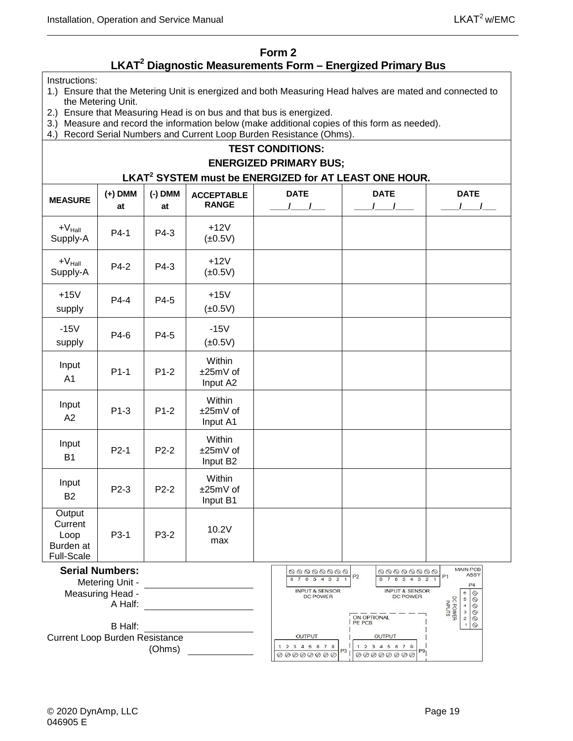#### **Form 2**

### **LKAT2 Diagnostic Measurements Form – Energized Primary Bus**

<span id="page-32-0"></span>Instructions:

- 1.) Ensure that the Metering Unit is energized and both Measuring Head halves are mated and connected to the Metering Unit.
- 2.) Ensure that Measuring Head is on bus and that bus is energized.
- 3.) Measure and record the information below (make additional copies of this form as needed).
- 4.) Record Serial Numbers and Current Loop Burden Resistance (Ohms).

#### **TEST CONDITIONS: ENERGIZED PRIMARY BUS; LKAT2 SYSTEM must be ENERGIZED for AT LEAST ONE HOUR. (-) DMM MEASURE (+) DMM ACCEPTABLE DATE DATE DATE RANGE at at \_\_\_\_/\_\_\_\_/\_\_\_ \_\_\_\_/\_\_\_\_/\_\_\_\_ \_\_\_\_/\_\_\_\_/\_\_\_**  $+V_{\text{Hall}}$ <br>Supply-A Supply-A P4-1 P4-3 +12V  $(±0.5V)$  $+V_{\text{Hall}}$  P4-2 P4-3  $+12V$ <br>Supply-A P4-2 P4-3  $+12V$  $+V_{\text{Hall}}$  $(±0.5V)$ +15V  $P4-4$   $P4-5$   $+15V$ supply  $(±0.5V)$ -15V  $P4-6$   $P4-5$   $-15V$  $(±0.5V)$ supply **Within** Input  $P1-1$  P1-2 ±25mV of A1 Input A2 **Within** Input  $P1-3$  |  $P1-2$ ±25mV of A2 Input A1 Within Input P2-1 P2-2 ±25mV of B1 Input B2 **Within** Input  $P2-3$  P2-2 ±25mV of B2 Input B1 **Output Current**  $P3-1$   $P3-2$  10.2V Loop max Burden at Full-Scale MAIN PCB **Serial Numbers:**  $\circ\circ\circ\circ\circ\circ\circ$ 00000000  $P<sub>2</sub>$  $P<sub>1</sub>$ **ASSY** 87654321 87654321 Metering Unit -  $P4$ **INPUT & SENSOR INPUT & SENSOR** Measuring Head -  $\begin{picture}(160,40) \put(0,0){\line(1,0){0.5}} \put(15,0){\line(1,0){0.5}} \put(15,0){\line(1,0){0.5}} \put(15,0){\line(1,0){0.5}} \put(15,0){\line(1,0){0.5}} \put(15,0){\line(1,0){0.5}} \put(15,0){\line(1,0){0.5}} \put(15,0){\line(1,0){0.5}} \put(15,0){\line(1,0){0.5}} \put(15,0){\line(1,0){0.5}} \put(15,0){\line(1,0){0.5}}$ DC POWER DC POWER DC POWER<br>INPUTS  $\begin{array}{c} 5 \\ 4 \end{array}$ A Half:  $\frac{3}{2}$ ON OPTIONAL B Half: OUTPUT Current Loop Burden Resistance **OUTPUT** 1 2 3 4 5 6 7 8 1 2 3 4 5 6 7 8 (Ohms) $P9$  ${\color{blue}\scriptstyle \oslash \oslash \oslash \oslash \oslash \oslash}$  $\begin{array}{l} \circledcirc \circledcirc \circledcirc \circledcirc \circledcirc \circledcirc \end{array}$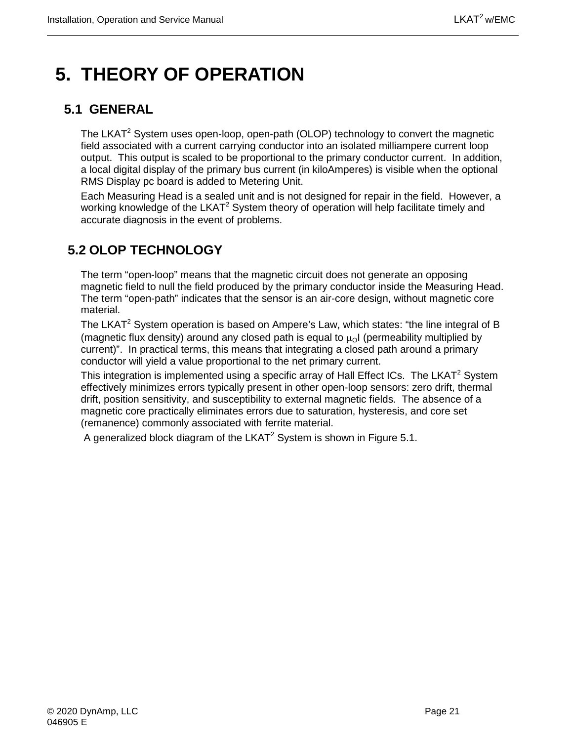## <span id="page-34-0"></span>**5. THEORY OF OPERATION**

## <span id="page-34-1"></span>**5.1 GENERAL**

The LKAT<sup>2</sup> System uses open-loop, open-path (OLOP) technology to convert the magnetic field associated with a current carrying conductor into an isolated milliampere current loop output. This output is scaled to be proportional to the primary conductor current. In addition, a local digital display of the primary bus current (in kiloAmperes) is visible when the optional RMS Display pc board is added to Metering Unit.

Each Measuring Head is a sealed unit and is not designed for repair in the field. However, a working knowledge of the LKAT<sup>2</sup> System theory of operation will help facilitate timely and accurate diagnosis in the event of problems.

## <span id="page-34-2"></span>**5.2 OLOP TECHNOLOGY**

The term "open-loop" means that the magnetic circuit does not generate an opposing magnetic field to null the field produced by the primary conductor inside the Measuring Head. The term "open-path" indicates that the sensor is an air-core design, without magnetic core material.

The LKAT<sup>2</sup> System operation is based on Ampere's Law, which states: "the line integral of B (magnetic flux density) around any closed path is equal to  $\mu_0$  (permeability multiplied by current)". In practical terms, this means that integrating a closed path around a primary conductor will yield a value proportional to the net primary current.

This integration is implemented using a specific array of Hall Effect ICs. The LKAT<sup>2</sup> System effectively minimizes errors typically present in other open-loop sensors: zero drift, thermal drift, position sensitivity, and susceptibility to external magnetic fields. The absence of a magnetic core practically eliminates errors due to saturation, hysteresis, and core set (remanence) commonly associated with ferrite material.

A generalized block diagram of the LKAT<sup>2</sup> System is shown in Figure 5.1.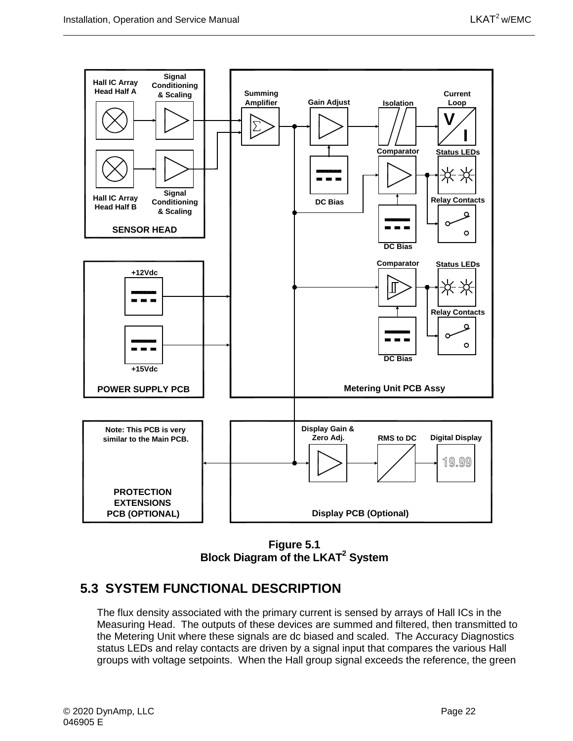

**Figure 5.1 Block Diagram of the LKAT2 System**

### <span id="page-35-1"></span><span id="page-35-0"></span>**5.3 SYSTEM FUNCTIONAL DESCRIPTION**

The flux density associated with the primary current is sensed by arrays of Hall ICs in the Measuring Head. The outputs of these devices are summed and filtered, then transmitted to the Metering Unit where these signals are dc biased and scaled. The Accuracy Diagnostics status LEDs and relay contacts are driven by a signal input that compares the various Hall groups with voltage setpoints. When the Hall group signal exceeds the reference, the green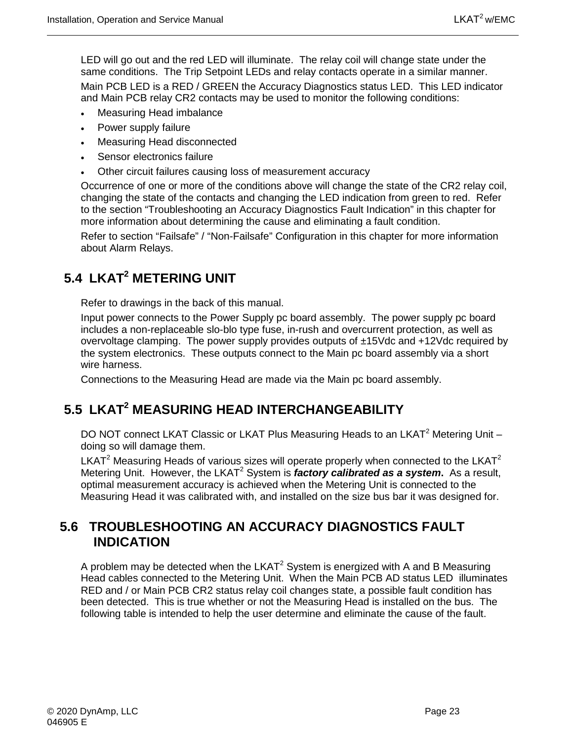LED will go out and the red LED will illuminate. The relay coil will change state under the same conditions. The Trip Setpoint LEDs and relay contacts operate in a similar manner. Main PCB LED is a RED / GREEN the Accuracy Diagnostics status LED. This LED indicator and Main PCB relay CR2 contacts may be used to monitor the following conditions:

- Measuring Head imbalance
- Power supply failure
- Measuring Head disconnected
- Sensor electronics failure
- Other circuit failures causing loss of measurement accuracy

Occurrence of one or more of the conditions above will change the state of the CR2 relay coil, changing the state of the contacts and changing the LED indication from green to red. Refer to the section "Troubleshooting an Accuracy Diagnostics Fault Indication" in this chapter for more information about determining the cause and eliminating a fault condition.

Refer to section "Failsafe" / "Non-Failsafe" Configuration in this chapter for more information about Alarm Relays.

## <span id="page-36-0"></span>**5.4 LKAT2 METERING UNIT**

Refer to drawings in the back of this manual.

Input power connects to the Power Supply pc board assembly. The power supply pc board includes a non-replaceable slo-blo type fuse, in-rush and overcurrent protection, as well as overvoltage clamping. The power supply provides outputs of ±15Vdc and +12Vdc required by the system electronics. These outputs connect to the Main pc board assembly via a short wire harness.

Connections to the Measuring Head are made via the Main pc board assembly.

## <span id="page-36-1"></span>**5.5 LKAT2 MEASURING HEAD INTERCHANGEABILITY**

DO NOT connect LKAT Classic or LKAT Plus Measuring Heads to an LKAT<sup>2</sup> Metering Unit – doing so will damage them.

LKAT<sup>2</sup> Measuring Heads of various sizes will operate properly when connected to the LKAT<sup>2</sup> Metering Unit. However, the LKAT<sup>2</sup> System is *factory calibrated as a system*. As a result, optimal measurement accuracy is achieved when the Metering Unit is connected to the Measuring Head it was calibrated with, and installed on the size bus bar it was designed for.

### <span id="page-36-2"></span>**5.6 TROUBLESHOOTING AN ACCURACY DIAGNOSTICS FAULT INDICATION**

A problem may be detected when the  $LKAT<sup>2</sup>$  System is energized with A and B Measuring Head cables connected to the Metering Unit. When the Main PCB AD status LED illuminates RED and / or Main PCB CR2 status relay coil changes state, a possible fault condition has been detected. This is true whether or not the Measuring Head is installed on the bus. The following table is intended to help the user determine and eliminate the cause of the fault.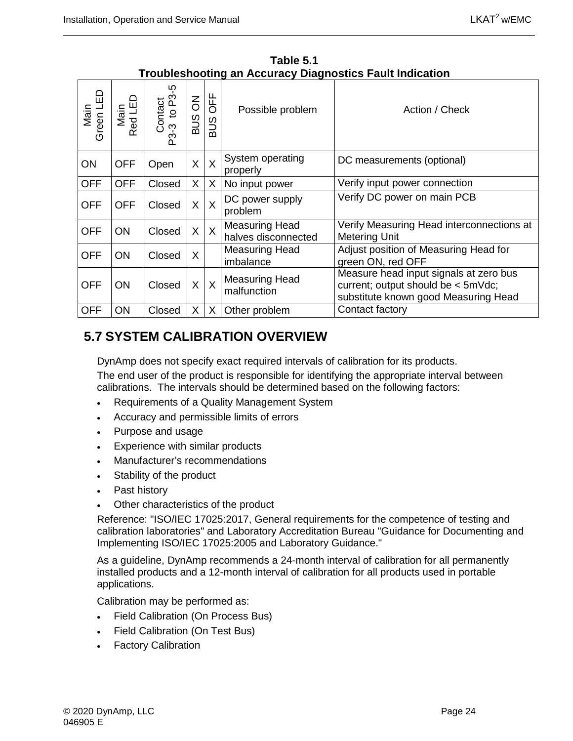<span id="page-37-1"></span>

| Green LED<br>Main | Main<br>Red LED | Contact<br>-3 to P3-5<br>P3-3 | $\overline{6}$<br>SUS | <b>DFF</b><br>SUS       | Possible problem                             | Action / Check                                                                                                       |
|-------------------|-----------------|-------------------------------|-----------------------|-------------------------|----------------------------------------------|----------------------------------------------------------------------------------------------------------------------|
| ON                | <b>OFF</b>      | Open                          | X                     | $\sf X$                 | System operating<br>properly                 | DC measurements (optional)                                                                                           |
| <b>OFF</b>        | <b>OFF</b>      | Closed                        | X                     | X                       | No input power                               | Verify input power connection                                                                                        |
| <b>OFF</b>        | <b>OFF</b>      | Closed                        | X                     | X                       | DC power supply<br>problem                   | Verify DC power on main PCB                                                                                          |
| <b>OFF</b>        | ON              | Closed                        | X                     | $\overline{X}$          | <b>Measuring Head</b><br>halves disconnected | Verify Measuring Head interconnections at<br><b>Metering Unit</b>                                                    |
| <b>OFF</b>        | <b>ON</b>       | Closed                        | X                     |                         | <b>Measuring Head</b><br>imbalance           | Adjust position of Measuring Head for<br>green ON, red OFF                                                           |
| <b>OFF</b>        | ON              | Closed                        | X                     | $\overline{\mathsf{X}}$ | <b>Measuring Head</b><br>malfunction         | Measure head input signals at zero bus<br>current; output should be < 5mVdc;<br>substitute known good Measuring Head |
| <b>OFF</b>        | ON              | Closed                        | X                     | X                       | Other problem                                | Contact factory                                                                                                      |

**Table 5.1 Troubleshooting an Accuracy Diagnostics Fault Indication** 

## <span id="page-37-0"></span>**5.7 SYSTEM CALIBRATION OVERVIEW**

DynAmp does not specify exact required intervals of calibration for its products.

The end user of the product is responsible for identifying the appropriate interval between calibrations. The intervals should be determined based on the following factors:

- Requirements of a Quality Management System
- Accuracy and permissible limits of errors
- Purpose and usage
- Experience with similar products
- Manufacturer's recommendations
- Stability of the product
- Past history
- Other characteristics of the product

Reference: "ISO/IEC 17025:2017, General requirements for the competence of testing and calibration laboratories" and Laboratory Accreditation Bureau "Guidance for Documenting and Implementing ISO/IEC 17025:2005 and Laboratory Guidance."

As a guideline, DynAmp recommends a 24-month interval of calibration for all permanently installed products and a 12-month interval of calibration for all products used in portable applications.

Calibration may be performed as:

- Field Calibration (On Process Bus)
- Field Calibration (On Test Bus)
- Factory Calibration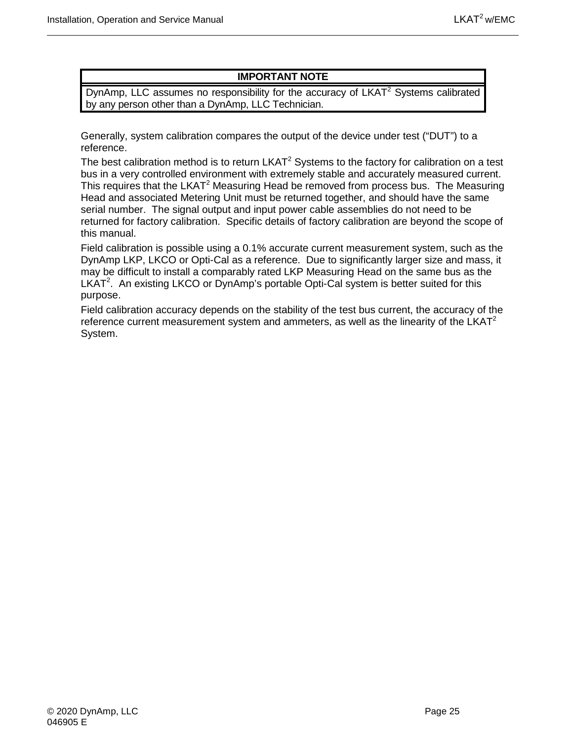#### **IMPORTANT NOTE**

DynAmp, LLC assumes no responsibility for the accuracy of  $LKAT<sup>2</sup>$  Systems calibrated by any person other than a DynAmp, LLC Technician.

Generally, system calibration compares the output of the device under test ("DUT") to a reference.

The best calibration method is to return  $LKAT<sup>2</sup>$  Systems to the factory for calibration on a test bus in a very controlled environment with extremely stable and accurately measured current. This requires that the LKAT<sup>2</sup> Measuring Head be removed from process bus. The Measuring Head and associated Metering Unit must be returned together, and should have the same serial number. The signal output and input power cable assemblies do not need to be returned for factory calibration. Specific details of factory calibration are beyond the scope of this manual.

Field calibration is possible using a 0.1% accurate current measurement system, such as the DynAmp LKP, LKCO or Opti-Cal as a reference. Due to significantly larger size and mass, it may be difficult to install a comparably rated LKP Measuring Head on the same bus as the LKAT<sup>2</sup>. An existing LKCO or DynAmp's portable Opti-Cal system is better suited for this purpose.

Field calibration accuracy depends on the stability of the test bus current, the accuracy of the reference current measurement system and ammeters, as well as the linearity of the  $LKAT<sup>2</sup>$ System.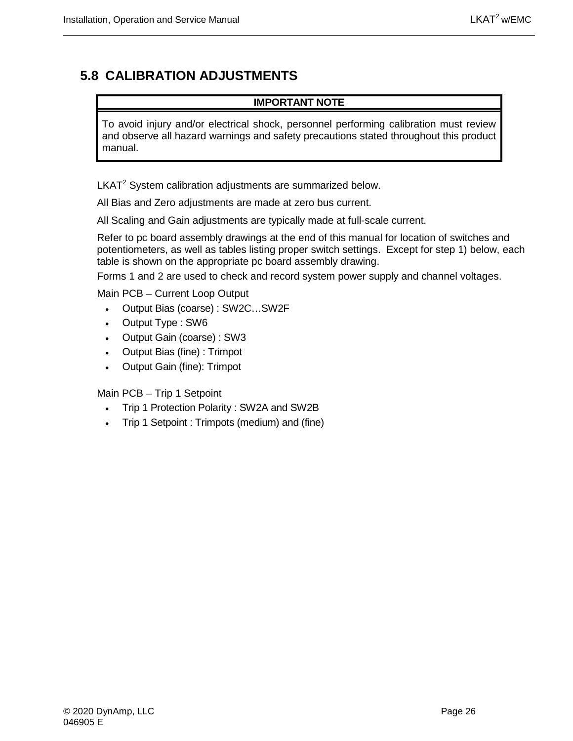## <span id="page-39-0"></span>**5.8 CALIBRATION ADJUSTMENTS**

#### **IMPORTANT NOTE**

To avoid injury and/or electrical shock, personnel performing calibration must review and observe all hazard warnings and safety precautions stated throughout this product manual.

 $LKAT<sup>2</sup>$  System calibration adjustments are summarized below.

All Bias and Zero adjustments are made at zero bus current.

All Scaling and Gain adjustments are typically made at full-scale current.

Refer to pc board assembly drawings at the end of this manual for location of switches and potentiometers, as well as tables listing proper switch settings. Except for step 1) below, each table is shown on the appropriate pc board assembly drawing.

Forms 1 and 2 are used to check and record system power supply and channel voltages.

Main PCB – Current Loop Output

- Output Bias (coarse) : SW2C…SW2F
- Output Type : SW6
- Output Gain (coarse) : SW3
- Output Bias (fine) : Trimpot
- Output Gain (fine): Trimpot

Main PCB – Trip 1 Setpoint

- Trip 1 Protection Polarity : SW2A and SW2B
- Trip 1 Setpoint : Trimpots (medium) and (fine)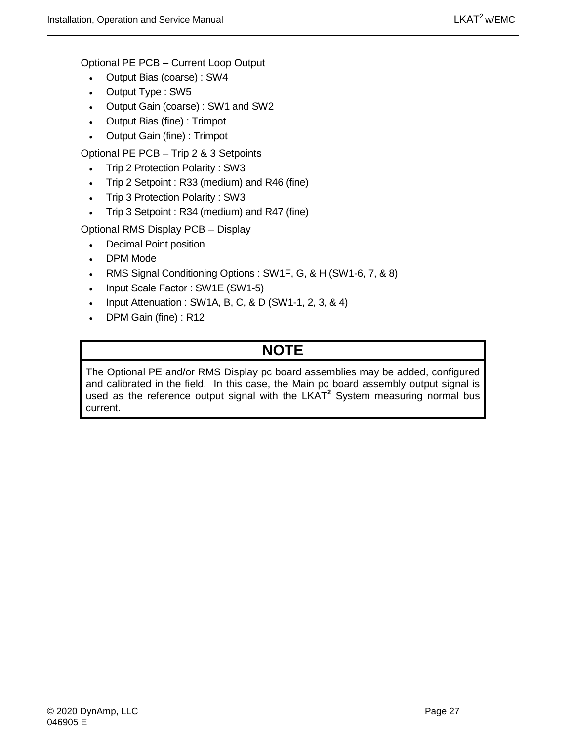Optional PE PCB – Current Loop Output

- Output Bias (coarse) : SW4
- Output Type : SW5
- Output Gain (coarse) : SW1 and SW2
- Output Bias (fine) : Trimpot
- Output Gain (fine) : Trimpot

Optional PE PCB – Trip 2 & 3 Setpoints

- Trip 2 Protection Polarity : SW3
- Trip 2 Setpoint : R33 (medium) and R46 (fine)
- Trip 3 Protection Polarity : SW3
- Trip 3 Setpoint : R34 (medium) and R47 (fine)

Optional RMS Display PCB – Display

- Decimal Point position
- DPM Mode
- RMS Signal Conditioning Options : SW1F, G, & H (SW1-6, 7, & 8)
- Input Scale Factor : SW1E (SW1-5)
- Input Attenuation : SW1A, B, C, & D (SW1-1, 2, 3, & 4)
- DPM Gain (fine) : R12

## **NOTE**

<span id="page-40-0"></span>The Optional PE and/or RMS Display pc board assemblies may be added, configured and calibrated in the field. In this case, the Main pc board assembly output signal is used as the reference output signal with the LKAT**<sup>2</sup>** System measuring normal bus current.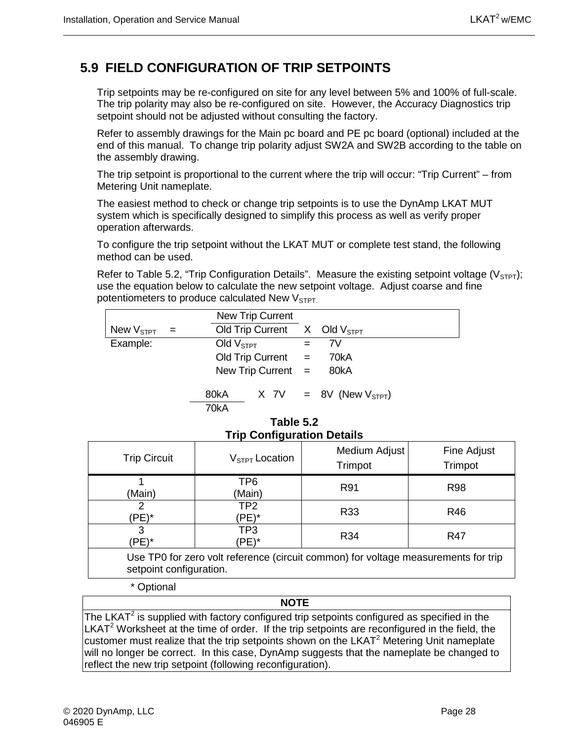## **5.9 FIELD CONFIGURATION OF TRIP SETPOINTS**

Trip setpoints may be re-configured on site for any level between 5% and 100% of full-scale. The trip polarity may also be re-configured on site. However, the Accuracy Diagnostics trip setpoint should not be adjusted without consulting the factory.

Refer to assembly drawings for the Main pc board and PE pc board (optional) included at the end of this manual. To change trip polarity adjust SW2A and SW2B according to the table on the assembly drawing.

The trip setpoint is proportional to the current where the trip will occur: "Trip Current" – from Metering Unit nameplate.

The easiest method to check or change trip setpoints is to use the DynAmp LKAT MUT system which is specifically designed to simplify this process as well as verify proper operation afterwards.

To configure the trip setpoint without the LKAT MUT or complete test stand, the following method can be used.

Refer to Table 5.2, "Trip Configuration Details". Measure the existing setpoint voltage ( $V_{\text{STP1}}$ ); use the equation below to calculate the new setpoint voltage. Adjust coarse and fine potentiometers to produce calculated New  $V<sub>STPT</sub>$ .

|                    |     | New Trip Current                 |     |                               |
|--------------------|-----|----------------------------------|-----|-------------------------------|
| New $\rm V_{STPT}$ | $=$ | Old Trip Current $X$ Old $VSTPT$ |     |                               |
| Example:           |     | Old $VSTPT$                      | $=$ | 7V                            |
|                    |     | $Old$ Trip Current $=$           |     | 70kA                          |
|                    |     | New Trip Current $=$             |     | 80kA                          |
|                    |     | 80kA<br>70kA                     |     | $X$ 7V = 8V (New $V_{STPT}$ ) |

#### **Table 5.2 Trip Configuration Details**

<span id="page-41-0"></span>

| <b>Trip Circuit</b>                                                                                           | $VSTPT$ Location         | Medium Adjust<br>Trimpot | Fine Adjust<br>Trimpot |
|---------------------------------------------------------------------------------------------------------------|--------------------------|--------------------------|------------------------|
| (Main)                                                                                                        | TP6<br>(Main)            | R91                      | <b>R98</b>             |
| (PE)*                                                                                                         | TP <sub>2</sub><br>(PE)* | R33                      | R46                    |
| 3<br>(PE)*                                                                                                    | TP3<br>(PE)*             | R34                      | R47                    |
| Use TP0 for zero volt reference (circuit common) for voltage measurements for trip<br>setpoint configuration. |                          |                          |                        |

\* Optional

#### **NOTE**

The LKAT<sup>2</sup> is supplied with factory configured trip setpoints configured as specified in the  $LKAT<sup>2</sup>$  Worksheet at the time of order. If the trip setpoints are reconfigured in the field, the customer must realize that the trip setpoints shown on the LKAT $2$  Metering Unit nameplate will no longer be correct. In this case, DynAmp suggests that the nameplate be changed to reflect the new trip setpoint (following reconfiguration).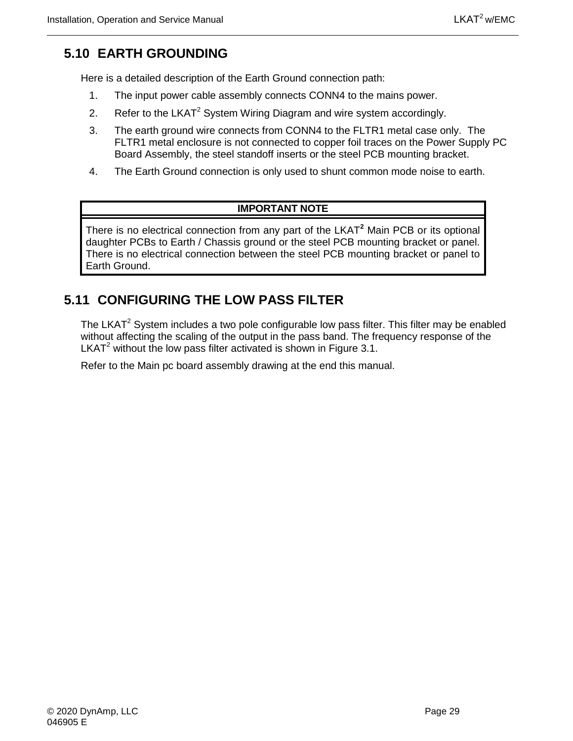## <span id="page-42-0"></span>**5.10 EARTH GROUNDING**

Here is a detailed description of the Earth Ground connection path:

- 1. The input power cable assembly connects CONN4 to the mains power.
- 2. Refer to the LKAT<sup>2</sup> System Wiring Diagram and wire system accordingly.
- 3. The earth ground wire connects from CONN4 to the FLTR1 metal case only. The FLTR1 metal enclosure is not connected to copper foil traces on the Power Supply PC Board Assembly, the steel standoff inserts or the steel PCB mounting bracket.
- 4. The Earth Ground connection is only used to shunt common mode noise to earth.

#### **IMPORTANT NOTE**

There is no electrical connection from any part of the LKAT**<sup>2</sup>** Main PCB or its optional daughter PCBs to Earth / Chassis ground or the steel PCB mounting bracket or panel. There is no electrical connection between the steel PCB mounting bracket or panel to Earth Ground.

## <span id="page-42-1"></span>**5.11 CONFIGURING THE LOW PASS FILTER**

The LKAT<sup>2</sup> System includes a two pole configurable low pass filter. This filter may be enabled without affecting the scaling of the output in the pass band. The frequency response of the LKAT<sup>2</sup> without the low pass filter activated is shown in Figure 3.1.

Refer to the Main pc board assembly drawing at the end this manual.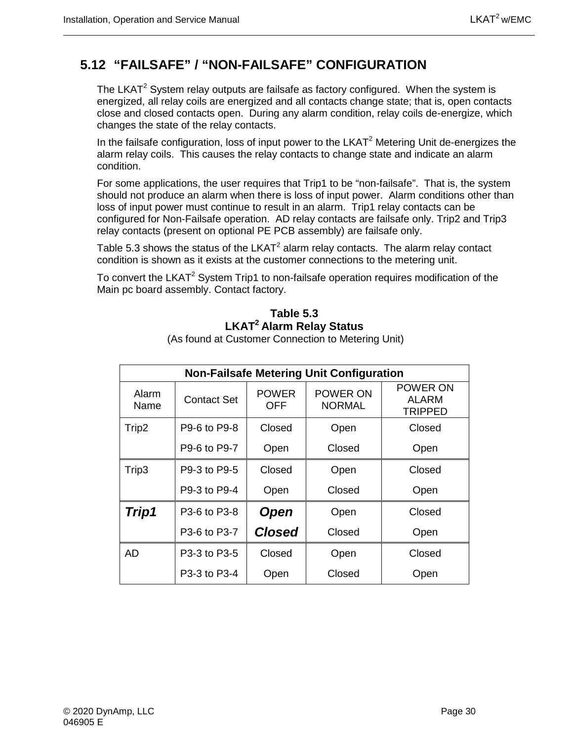## <span id="page-43-0"></span>**5.12 "FAILSAFE" / "NON-FAILSAFE" CONFIGURATION**

The LKAT<sup>2</sup> System relay outputs are failsafe as factory configured. When the system is energized, all relay coils are energized and all contacts change state; that is, open contacts close and closed contacts open. During any alarm condition, relay coils de-energize, which changes the state of the relay contacts.

In the failsafe configuration, loss of input power to the  $LKAT<sup>2</sup>$  Metering Unit de-energizes the alarm relay coils. This causes the relay contacts to change state and indicate an alarm condition.

For some applications, the user requires that Trip1 to be "non-failsafe". That is, the system should not produce an alarm when there is loss of input power. Alarm conditions other than loss of input power must continue to result in an alarm. Trip1 relay contacts can be configured for Non-Failsafe operation. AD relay contacts are failsafe only. Trip2 and Trip3 relay contacts (present on optional PE PCB assembly) are failsafe only.

Table 5.3 shows the status of the  $LKAT^2$  alarm relay contacts. The alarm relay contact condition is shown as it exists at the customer connections to the metering unit.

<span id="page-43-1"></span>To convert the LKAT<sup>2</sup> System Trip1 to non-failsafe operation requires modification of the Main pc board assembly. Contact factory.

#### **Table 5.3 LKAT2 Alarm Relay Status**

| <b>Non-Failsafe Metering Unit Configuration</b> |                    |                     |                           |                                     |  |
|-------------------------------------------------|--------------------|---------------------|---------------------------|-------------------------------------|--|
| Alarm<br>Name                                   | <b>Contact Set</b> | <b>POWER</b><br>OFF | POWER ON<br><b>NORMAL</b> | POWER ON<br>ALARM<br><b>TRIPPED</b> |  |
| Trip2                                           | P9-6 to P9-8       | Closed              | Open                      | Closed                              |  |
|                                                 | P9-6 to P9-7       | Open                | Closed                    | Open                                |  |
| Trip3                                           | P9-3 to P9-5       | Closed              | Open                      | Closed                              |  |
|                                                 | P9-3 to P9-4       | Open                | Closed                    | Open                                |  |
| Trip1                                           | P3-6 to P3-8       | <b>Open</b>         | Open                      | Closed                              |  |
|                                                 | P3-6 to P3-7       | <b>Closed</b>       | Closed                    | Open                                |  |
| AD                                              | P3-3 to P3-5       | Closed              | Open                      | Closed                              |  |
|                                                 | P3-3 to P3-4       | Open                | Closed                    | Open                                |  |

(As found at Customer Connection to Metering Unit)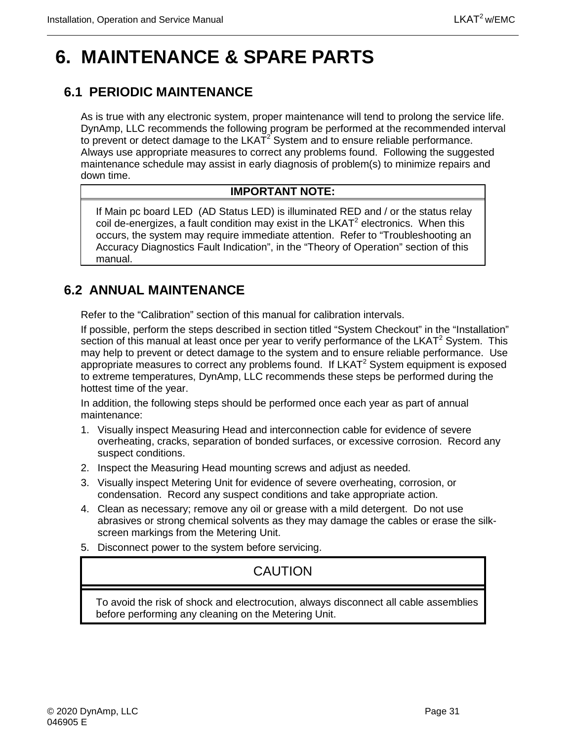## <span id="page-44-0"></span>**6. MAINTENANCE & SPARE PARTS**

## <span id="page-44-1"></span>**6.1 PERIODIC MAINTENANCE**

As is true with any electronic system, proper maintenance will tend to prolong the service life. DynAmp, LLC recommends the following program be performed at the recommended interval to prevent or detect damage to the  $LKAT<sup>2</sup>$  System and to ensure reliable performance. Always use appropriate measures to correct any problems found. Following the suggested maintenance schedule may assist in early diagnosis of problem(s) to minimize repairs and down time.

#### **IMPORTANT NOTE:**

If Main pc board LED (AD Status LED) is illuminated RED and / or the status relay coil de-energizes, a fault condition may exist in the  $LKAT<sup>2</sup>$  electronics. When this occurs, the system may require immediate attention. Refer to "Troubleshooting an Accuracy Diagnostics Fault Indication", in the "Theory of Operation" section of this manual.

## <span id="page-44-2"></span>**6.2 ANNUAL MAINTENANCE**

Refer to the "Calibration" section of this manual for calibration intervals.

If possible, perform the steps described in section titled "System Checkout" in the "Installation" section of this manual at least once per year to verify performance of the  $LKAT^2$  System. This may help to prevent or detect damage to the system and to ensure reliable performance. Use appropriate measures to correct any problems found. If  $LKAT<sup>2</sup>$  System equipment is exposed to extreme temperatures, DynAmp, LLC recommends these steps be performed during the hottest time of the year.

In addition, the following steps should be performed once each year as part of annual maintenance:

- 1. Visually inspect Measuring Head and interconnection cable for evidence of severe overheating, cracks, separation of bonded surfaces, or excessive corrosion. Record any suspect conditions.
- 2. Inspect the Measuring Head mounting screws and adjust as needed.
- 3. Visually inspect Metering Unit for evidence of severe overheating, corrosion, or condensation. Record any suspect conditions and take appropriate action.
- 4. Clean as necessary; remove any oil or grease with a mild detergent. Do not use abrasives or strong chemical solvents as they may damage the cables or erase the silkscreen markings from the Metering Unit.
- 5. Disconnect power to the system before servicing.

## **CAUTION**

To avoid the risk of shock and electrocution, always disconnect all cable assemblies before performing any cleaning on the Metering Unit.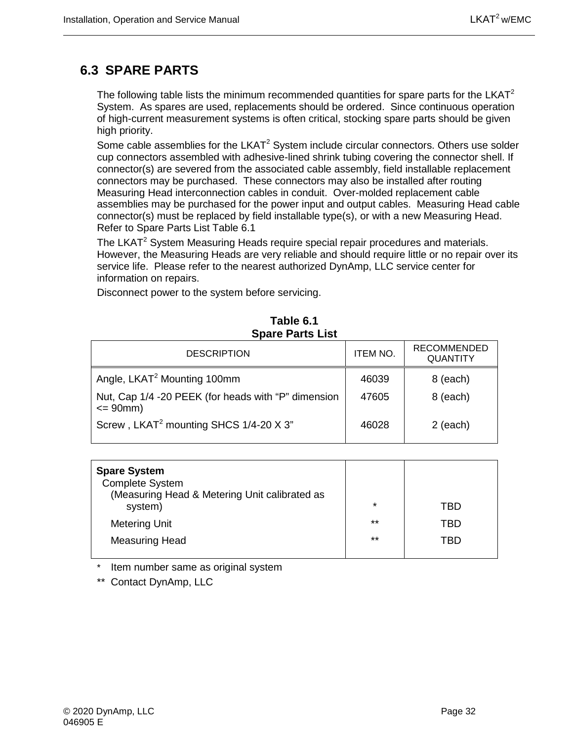## <span id="page-45-0"></span>**6.3 SPARE PARTS**

The following table lists the minimum recommended quantities for spare parts for the  $LKAT<sup>2</sup>$ System. As spares are used, replacements should be ordered. Since continuous operation of high-current measurement systems is often critical, stocking spare parts should be given high priority.

Some cable assemblies for the  $LKAT^2$  System include circular connectors. Others use solder cup connectors assembled with adhesive-lined shrink tubing covering the connector shell. If connector(s) are severed from the associated cable assembly, field installable replacement connectors may be purchased. These connectors may also be installed after routing Measuring Head interconnection cables in conduit. Over-molded replacement cable assemblies may be purchased for the power input and output cables. Measuring Head cable connector(s) must be replaced by field installable type(s), or with a new Measuring Head. Refer to Spare Parts List Table 6.1

The LKAT<sup>2</sup> System Measuring Heads require special repair procedures and materials. However, the Measuring Heads are very reliable and should require little or no repair over its service life. Please refer to the nearest authorized DynAmp, LLC service center for information on repairs.

Disconnect power to the system before servicing.

<span id="page-45-1"></span>

| <b>DESCRIPTION</b>                                                   | <b>ITEM NO.</b> | <b>RECOMMENDED</b><br><b>QUANTITY</b> |  |
|----------------------------------------------------------------------|-----------------|---------------------------------------|--|
| Angle, LKAT <sup>2</sup> Mounting 100mm                              | 46039           | 8 (each)                              |  |
| Nut, Cap 1/4 -20 PEEK (for heads with "P" dimension<br>$= 90$ mm $)$ | 47605           | 8 (each)                              |  |
| Screw, LKAT <sup>2</sup> mounting SHCS 1/4-20 X 3"                   | 46028           | $2$ (each)                            |  |

#### **Table 6.1 Spare Parts List**

| <b>Spare System</b><br><b>Complete System</b><br>(Measuring Head & Metering Unit calibrated as<br>system) | $\star$ | TBD |
|-----------------------------------------------------------------------------------------------------------|---------|-----|
| <b>Metering Unit</b>                                                                                      | $***$   | TBD |
| <b>Measuring Head</b>                                                                                     | $***$   | TRD |
|                                                                                                           |         |     |

Item number same as original system

\*\* Contact DynAmp, LLC